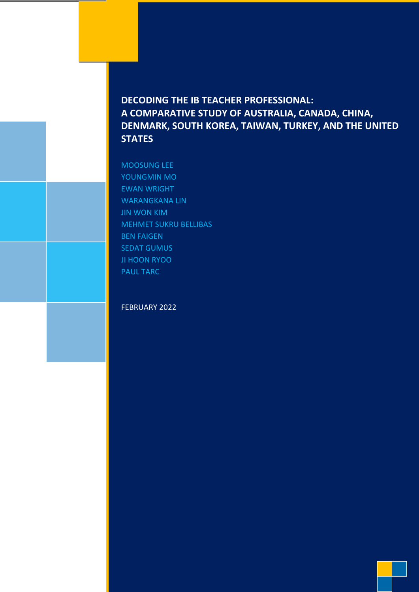# **DECODING THE IB TEACHER PROFESSIONAL: A COMPARATIVE STUDY OF AUSTRALIA, CANADA, CHINA, DENMARK, SOUTH KOREA, TAIWAN, TURKEY, AND THE UNITED STATES**

MOOSUNG LEE YOUNGMIN MO EWAN WRIGHT WARANGKANA LIN JIN WON KIM MEHMET SUKRU BELLIBAS BEN FAIGEN SEDAT GUMUS JI HOON RYOO PAUL TARC

## FEBRUARY 2022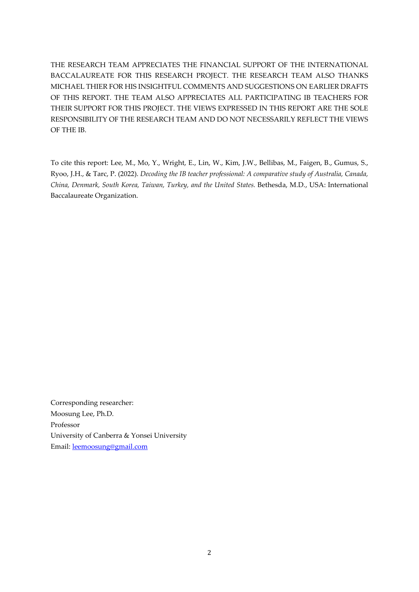THE RESEARCH TEAM APPRECIATES THE FINANCIAL SUPPORT OF THE INTERNATIONAL BACCALAUREATE FOR THIS RESEARCH PROJECT. THE RESEARCH TEAM ALSO THANKS MICHAEL THIER FOR HIS INSIGHTFUL COMMENTS AND SUGGESTIONS ON EARLIER DRAFTS OF THIS REPORT. THE TEAM ALSO APPRECIATES ALL PARTICIPATING IB TEACHERS FOR THEIR SUPPORT FOR THIS PROJECT. THE VIEWS EXPRESSED IN THIS REPORT ARE THE SOLE RESPONSIBILITY OF THE RESEARCH TEAM AND DO NOT NECESSARILY REFLECT THE VIEWS OF THE IB.

To cite this report: Lee, M., Mo, Y., Wright, E., Lin, W., Kim, J.W., Bellibas, M., Faigen, B., Gumus, S., Ryoo, J.H., & Tarc, P. (2022). *Decoding the IB teacher professional: A comparative study of Australia, Canada, China, Denmark, South Korea, Taiwan, Turkey, and the United States.* Bethesda, M.D., USA: International Baccalaureate Organization.

Corresponding researcher: Moosung Lee, Ph.D. Professor University of Canberra & Yonsei University Email: [leemoosung@gmail.com](mailto:leemoosung@gmail.com)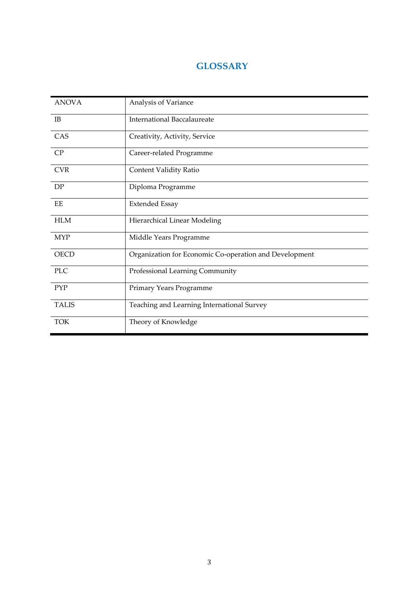# **GLOSSARY**

| <b>ANOVA</b> | Analysis of Variance                                   |
|--------------|--------------------------------------------------------|
| IB           | <b>International Baccalaureate</b>                     |
| CAS          | Creativity, Activity, Service                          |
| CP           | Career-related Programme                               |
| <b>CVR</b>   | Content Validity Ratio                                 |
| DP           | Diploma Programme                                      |
| EE           | <b>Extended Essay</b>                                  |
| <b>HLM</b>   | Hierarchical Linear Modeling                           |
| <b>MYP</b>   | Middle Years Programme                                 |
| <b>OECD</b>  | Organization for Economic Co-operation and Development |
| <b>PLC</b>   | Professional Learning Community                        |
| <b>PYP</b>   | Primary Years Programme                                |
| <b>TALIS</b> | Teaching and Learning International Survey             |
| <b>TOK</b>   | Theory of Knowledge                                    |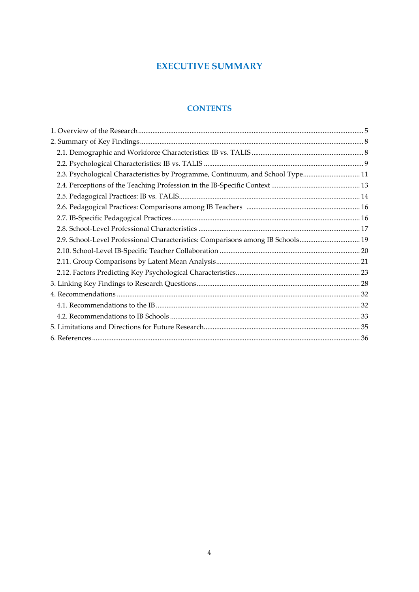# **EXECUTIVE SUMMARY**

# **CONTENTS**

| 2.3. Psychological Characteristics by Programme, Continuum, and School Type 11  |  |
|---------------------------------------------------------------------------------|--|
|                                                                                 |  |
|                                                                                 |  |
|                                                                                 |  |
|                                                                                 |  |
|                                                                                 |  |
| 2.9. School-Level Professional Characteristics: Comparisons among IB Schools 19 |  |
|                                                                                 |  |
|                                                                                 |  |
|                                                                                 |  |
|                                                                                 |  |
|                                                                                 |  |
|                                                                                 |  |
|                                                                                 |  |
|                                                                                 |  |
|                                                                                 |  |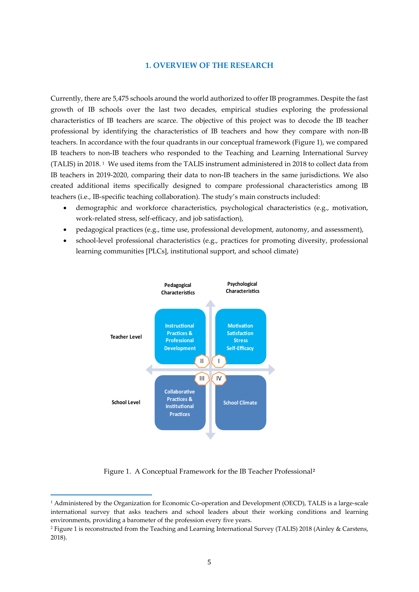#### **1. OVERVIEW OF THE RESEARCH**

Currently, there are 5,475 schools around the world authorized to offer IB programmes. Despite the fast growth of IB schools over the last two decades, empirical studies exploring the professional characteristics of IB teachers are scarce. The objective of this project was to decode the IB teacher professional by identifying the characteristics of IB teachers and how they compare with non-IB teachers. In accordance with the four quadrants in our conceptual framework (Figure 1), we compared IB teachers to non-IB teachers who responded to the Teaching and Learning International Survey (TALIS) in 2018. [1](#page-4-0) We used items from the TALIS instrument administered in 2018 to collect data from IB teachers in 2019-2020, comparing their data to non-IB teachers in the same jurisdictions. We also created additional items specifically designed to compare professional characteristics among IB teachers (i.e., IB-specific teaching collaboration). The study's main constructs included:

- demographic and workforce characteristics, psychological characteristics (e.g., motivation, work-related stress, self-efficacy, and job satisfaction),
- pedagogical practices (e.g., time use, professional development, autonomy, and assessment),
- school-level professional characteristics (e.g., practices for promoting diversity, professional learning communities [PLCs], institutional support, and school climate)



Figure 1. A Conceptual Framework for the IB Teacher Professional**[2](#page-4-1)**

<span id="page-4-0"></span><sup>1</sup> Administered by the Organization for Economic Co-operation and Development (OECD), TALIS is a large-scale international survey that asks teachers and school leaders about their working conditions and learning environments, providing a barometer of the profession every five years.

<span id="page-4-1"></span><sup>2</sup> Figure 1 is reconstructed from the Teaching and Learning International Survey (TALIS) 2018 (Ainley & Carstens, 2018).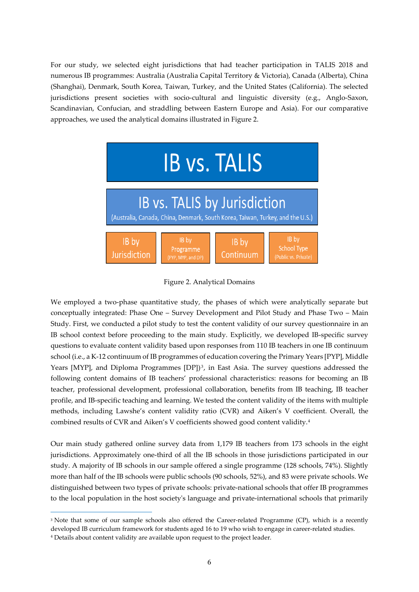For our study, we selected eight jurisdictions that had teacher participation in TALIS 2018 and numerous IB programmes: Australia (Australia Capital Territory & Victoria), Canada (Alberta), China (Shanghai), Denmark, South Korea, Taiwan, Turkey, and the United States (California). The selected jurisdictions present societies with socio-cultural and linguistic diversity (e.g., Anglo-Saxon, Scandinavian, Confucian, and straddling between Eastern Europe and Asia). For our comparative approaches, we used the analytical domains illustrated in Figure 2.



Figure 2. Analytical Domains

We employed a two-phase quantitative study, the phases of which were analytically separate but conceptually integrated: Phase One – Survey Development and Pilot Study and Phase Two – Main Study. First, we conducted a pilot study to test the content validity of our survey questionnaire in an IB school context before proceeding to the main study. Explicitly, we developed IB-specific survey questions to evaluate content validity based upon responses from 110 IB teachers in one IB continuum school (i.e., a K-12 continuum of IB programmes of education covering the Primary Years [PYP], Middle Years [MYP], and Diploma Programmes  $[DP]$ <sup>[3](#page-5-0)</sup>, in East Asia. The survey questions addressed the following content domains of IB teachers' professional characteristics: reasons for becoming an IB teacher, professional development, professional collaboration, benefits from IB teaching, IB teacher profile, and IB-specific teaching and learning. We tested the content validity of the items with multiple methods, including Lawshe's content validity ratio (CVR) and Aiken's V coefficient. Overall, the combined results of CVR and Aiken's V coefficients showed good content validity.[4](#page-5-1) 

Our main study gathered online survey data from 1,179 IB teachers from 173 schools in the eight jurisdictions. Approximately one-third of all the IB schools in those jurisdictions participated in our study. A majority of IB schools in our sample offered a single programme (128 schools, 74%). Slightly more than half of the IB schools were public schools (90 schools, 52%), and 83 were private schools. We distinguished between two types of private schools: private-national schools that offer IB programmes to the local population in the host society's language and private-international schools that primarily

<span id="page-5-1"></span><span id="page-5-0"></span><sup>&</sup>lt;sup>3</sup> Note that some of our sample schools also offered the Career-related Programme (CP), which is a recently developed IB curriculum framework for students aged 16 to 19 who wish to engage in career-related studies. <sup>4</sup> Details about content validity are available upon request to the project leader.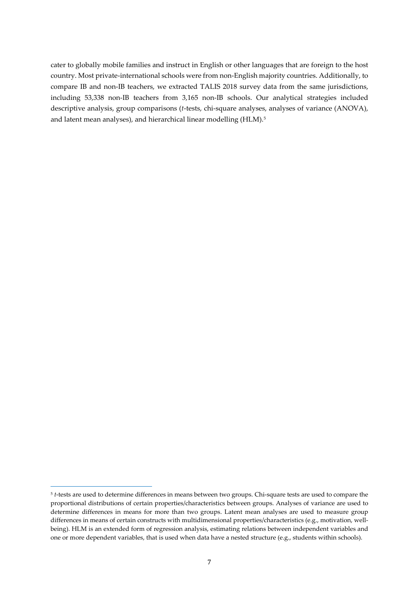cater to globally mobile families and instruct in English or other languages that are foreign to the host country. Most private-international schools were from non-English majority countries. Additionally, to compare IB and non-IB teachers, we extracted TALIS 2018 survey data from the same jurisdictions, including 53,338 non-IB teachers from 3,165 non-IB schools. Our analytical strategies included descriptive analysis, group comparisons (*t*-tests, chi-square analyses, analyses of variance (ANOVA), and latent mean analyses), and hierarchical linear modelling (HLM).<sup>[5](#page-6-0)</sup>

<span id="page-6-0"></span><sup>5</sup> *t*-tests are used to determine differences in means between two groups. Chi-square tests are used to compare the proportional distributions of certain properties/characteristics between groups. Analyses of variance are used to determine differences in means for more than two groups. Latent mean analyses are used to measure group differences in means of certain constructs with multidimensional properties/characteristics (e.g., motivation, wellbeing). HLM is an extended form of regression analysis, estimating relations between independent variables and one or more dependent variables, that is used when data have a nested structure (e.g., students within schools).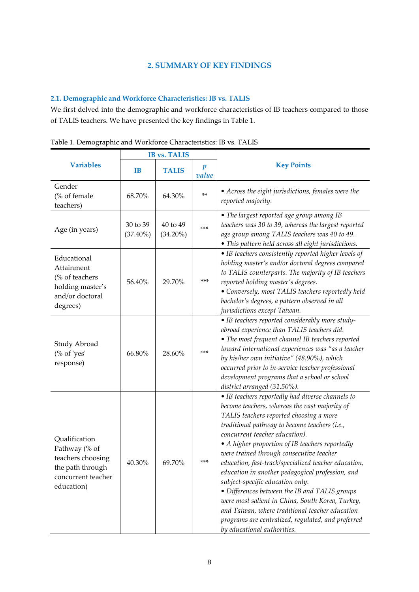### **2. SUMMARY OF KEY FINDINGS**

## **2.1. Demographic and Workforce Characteristics: IB vs. TALIS**

We first delved into the demographic and workforce characteristics of IB teachers compared to those of TALIS teachers. We have presented the key findings in Table 1.

|                                                                                                             |                         | <b>IB vs. TALIS</b>     |                           |                                                                                                                                                                                                                                                                                                                                                                                                                                                                                                                                                                                                                                                                                                                             |
|-------------------------------------------------------------------------------------------------------------|-------------------------|-------------------------|---------------------------|-----------------------------------------------------------------------------------------------------------------------------------------------------------------------------------------------------------------------------------------------------------------------------------------------------------------------------------------------------------------------------------------------------------------------------------------------------------------------------------------------------------------------------------------------------------------------------------------------------------------------------------------------------------------------------------------------------------------------------|
| <b>Variables</b>                                                                                            | <b>IB</b>               | <b>TALIS</b>            | $\boldsymbol{p}$<br>value | <b>Key Points</b>                                                                                                                                                                                                                                                                                                                                                                                                                                                                                                                                                                                                                                                                                                           |
| Gender<br>(% of female<br>teachers)                                                                         | 68.70%                  | 64.30%                  | $***$                     | • Across the eight jurisdictions, females were the<br>reported majority.                                                                                                                                                                                                                                                                                                                                                                                                                                                                                                                                                                                                                                                    |
| Age (in years)                                                                                              | 30 to 39<br>$(37.40\%)$ | 40 to 49<br>$(34.20\%)$ | $***$                     | • The largest reported age group among IB<br>teachers was 30 to 39, whereas the largest reported<br>age group among TALIS teachers was 40 to 49.<br>· This pattern held across all eight jurisdictions.                                                                                                                                                                                                                                                                                                                                                                                                                                                                                                                     |
| Educational<br>Attainment<br>(% of teachers<br>holding master's<br>and/or doctoral<br>degrees)              | 56.40%                  | 29.70%                  | $***$                     | • IB teachers consistently reported higher levels of<br>holding master's and/or doctoral degrees compared<br>to TALIS counterparts. The majority of IB teachers<br>reported holding master's degrees.<br>• Conversely, most TALIS teachers reportedly held<br>bachelor's degrees, a pattern observed in all<br>jurisdictions except Taiwan.                                                                                                                                                                                                                                                                                                                                                                                 |
| Study Abroad<br>(% of 'yes'<br>response)                                                                    | 66.80%                  | 28.60%                  | $***$                     | • IB teachers reported considerably more study-<br>abroad experience than TALIS teachers did.<br>• The most frequent channel IB teachers reported<br>toward international experiences was "as a teacher<br>by his/her own initiative" (48.90%), which<br>occurred prior to in-service teacher professional<br>development programs that a school or school<br>district arranged (31.50%).                                                                                                                                                                                                                                                                                                                                   |
| Qualification<br>Pathway (% of<br>teachers choosing<br>the path through<br>concurrent teacher<br>education) | 40.30%                  | 69.70%                  | ***                       | • IB teachers reportedly had diverse channels to<br>become teachers, whereas the vast majority of<br>TALIS teachers reported choosing a more<br>traditional pathway to become teachers (i.e.,<br>concurrent teacher education).<br>• A higher proportion of IB teachers reportedly<br>were trained through consecutive teacher<br>education, fast-track/specialized teacher education,<br>education in another pedagogical profession, and<br>subject-specific education only.<br>· Differences between the IB and TALIS groups<br>were most salient in China, South Korea, Turkey,<br>and Taiwan, where traditional teacher education<br>programs are centralized, regulated, and preferred<br>by educational authorities. |

Table 1. Demographic and Workforce Characteristics: IB vs. TALIS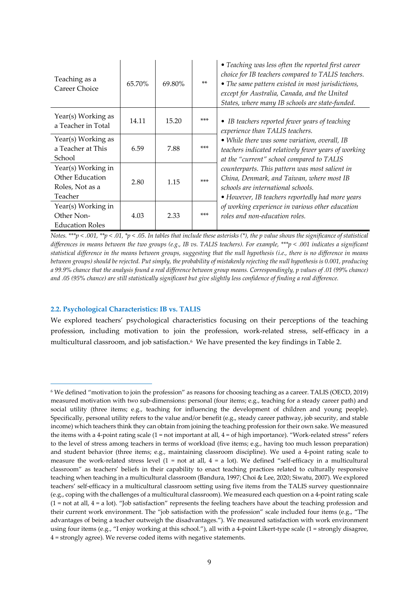| Teaching as a<br>Career Choice                                      | 65.70% | 69.80% | $***$ | • Teaching was less often the reported first career<br>choice for IB teachers compared to TALIS teachers.<br>• The same pattern existed in most jurisdictions,<br>except for Australia, Canada, and the United<br>States, where many IB schools are state-funded. |
|---------------------------------------------------------------------|--------|--------|-------|-------------------------------------------------------------------------------------------------------------------------------------------------------------------------------------------------------------------------------------------------------------------|
| Year(s) Working as<br>a Teacher in Total                            | 14.11  | 15.20  | $***$ | • IB teachers reported fewer years of teaching<br>experience than TALIS teachers.                                                                                                                                                                                 |
| Year(s) Working as<br>a Teacher at This<br>School                   | 6.59   | 7.88   | $***$ | • While there was some variation, overall, IB<br>teachers indicated relatively fewer years of working<br>at the "current" school compared to TALIS                                                                                                                |
| Year(s) Working in<br>Other Education<br>Roles, Not as a<br>Teacher | 2.80   | 1.15   | $***$ | counterparts. This pattern was most salient in<br>China, Denmark, and Taiwan, where most IB<br>schools are international schools.<br>• However, IB teachers reportedly had more years                                                                             |
| Year(s) Working in<br>Other Non-<br><b>Education Roles</b>          | 4.03   | 2.33   | $***$ | of working experience in various other education<br>roles and non-education roles.                                                                                                                                                                                |

*Notes. \*\*\*p < .001, \*\*p < .01, \*p < .05. In tables that include these asterisks (\*), the p value shows the significance of statistical differences in means between the two groups (e.g., IB vs. TALIS teachers). For example, \*\*\*p < .001 indicates a significant statistical difference in the means between groups, suggesting that the null hypothesis (i.e., there is no difference in means between groups) should be rejected. Put simply, the probability of mistakenly rejecting the null hypothesis is 0.001, producing a 99.9% chance that the analysis found a real difference between group means. Correspondingly, p values of .01 (99% chance) and .05 (95% chance) are still statistically significant but give slightly less confidence of finding a real difference.*

#### **2.2. Psychological Characteristics: IB vs. TALIS**

We explored teachers' psychological characteristics focusing on their perceptions of the teaching profession, including motivation to join the profession, work-related stress, self-efficacy in a multicultural classroom, and job satisfaction.[6](#page-8-0) We have presented the key findings in Table 2.

<span id="page-8-0"></span><sup>6</sup> We defined "motivation to join the profession" as reasons for choosing teaching as a career. TALIS (OECD, 2019) measured motivation with two sub-dimensions: personal (four items; e.g., teaching for a steady career path) and social utility (three items; e.g., teaching for influencing the development of children and young people). Specifically, personal utility refers to the value and/or benefit (e.g., steady career pathway, job security, and stable income) which teachers think they can obtain from joining the teaching profession for their own sake. We measured the items with a 4-point rating scale  $(1 = not important at all, 4 = of high importance)$ . "Work-related stress" refers to the level of stress among teachers in terms of workload (five items; e.g., having too much lesson preparation) and student behavior (three items; e.g., maintaining classroom discipline). We used a 4-point rating scale to measure the work-related stress level  $(1 = not at all, 4 = a lot)$ . We defined "self-efficacy in a multicultural classroom" as teachers' beliefs in their capability to enact teaching practices related to culturally responsive teaching when teaching in a multicultural classroom (Bandura, 1997; Choi & Lee, 2020; Siwatu, 2007). We explored teachers' self-efficacy in a multicultural classroom setting using five items from the TALIS survey questionnaire (e.g., coping with the challenges of a multicultural classroom). We measured each question on a 4-point rating scale  $(1 = not at all, 4 = a lot).$  "Job satisfaction" represents the feeling teachers have about the teaching profession and their current work environment. The "job satisfaction with the profession" scale included four items (e.g., "The advantages of being a teacher outweigh the disadvantages."). We measured satisfaction with work environment using four items (e.g., "I enjoy working at this school."), all with a 4-point Likert-type scale (1 = strongly disagree, 4 = strongly agree). We reverse coded items with negative statements.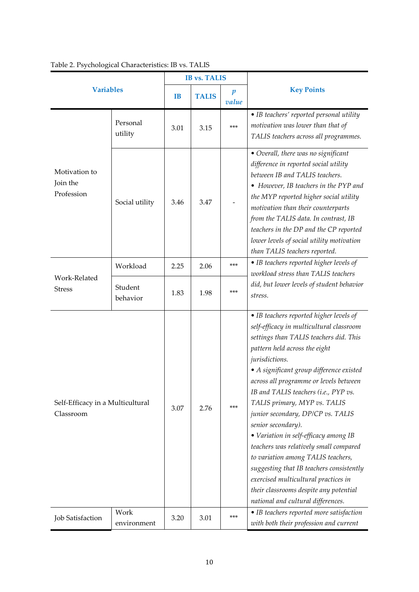|                                               |                     |           | <b>IB vs. TALIS</b> |                           |                                                                                                                                                                                                                                                                                                                                                                                                                                                                                                                                                                                                                                                                                                        |
|-----------------------------------------------|---------------------|-----------|---------------------|---------------------------|--------------------------------------------------------------------------------------------------------------------------------------------------------------------------------------------------------------------------------------------------------------------------------------------------------------------------------------------------------------------------------------------------------------------------------------------------------------------------------------------------------------------------------------------------------------------------------------------------------------------------------------------------------------------------------------------------------|
| <b>Variables</b>                              |                     | <b>IB</b> | <b>TALIS</b>        | $\boldsymbol{p}$<br>value | <b>Key Points</b>                                                                                                                                                                                                                                                                                                                                                                                                                                                                                                                                                                                                                                                                                      |
|                                               | Personal<br>utility | 3.01      | 3.15                | $***$                     | • IB teachers' reported personal utility<br>motivation was lower than that of<br>TALIS teachers across all programmes.                                                                                                                                                                                                                                                                                                                                                                                                                                                                                                                                                                                 |
| Motivation to<br>Join the<br>Profession       | Social utility      | 3.46      | 3.47                |                           | • Overall, there was no significant<br>difference in reported social utility<br>between IB and TALIS teachers.<br>• However, IB teachers in the PYP and<br>the MYP reported higher social utility<br>motivation than their counterparts<br>from the TALIS data. In contrast, IB<br>teachers in the DP and the CP reported<br>lower levels of social utility motivation<br>than TALIS teachers reported.                                                                                                                                                                                                                                                                                                |
|                                               | Workload            | 2.25      | 2.06                | $***$                     | • IB teachers reported higher levels of<br>workload stress than TALIS teachers                                                                                                                                                                                                                                                                                                                                                                                                                                                                                                                                                                                                                         |
| Work-Related<br><b>Stress</b>                 | Student<br>behavior | 1.83      | 1.98                | $***$                     | did, but lower levels of student behavior<br>stress.                                                                                                                                                                                                                                                                                                                                                                                                                                                                                                                                                                                                                                                   |
| Self-Efficacy in a Multicultural<br>Classroom |                     | 3.07      | 2.76                | $***$                     | • IB teachers reported higher levels of<br>self-efficacy in multicultural classroom<br>settings than TALIS teachers did. This<br>pattern held across the eight<br>jurisdictions.<br>• A significant group difference existed<br>across all programme or levels between<br>IB and TALIS teachers (i.e., PYP vs.<br>TALIS primary, MYP vs. TALIS<br>junior secondary, DP/CP vs. TALIS<br>senior secondary).<br>• Variation in self-efficacy among IB<br>teachers was relatively small compared<br>to variation among TALIS teachers,<br>suggesting that IB teachers consistently<br>exercised multicultural practices in<br>their classrooms despite any potential<br>national and cultural differences. |
| Job Satisfaction                              | Work<br>environment | 3.20      | 3.01                | $***$                     | • IB teachers reported more satisfaction<br>with both their profession and current                                                                                                                                                                                                                                                                                                                                                                                                                                                                                                                                                                                                                     |

# Table 2. Psychological Characteristics: IB vs. TALIS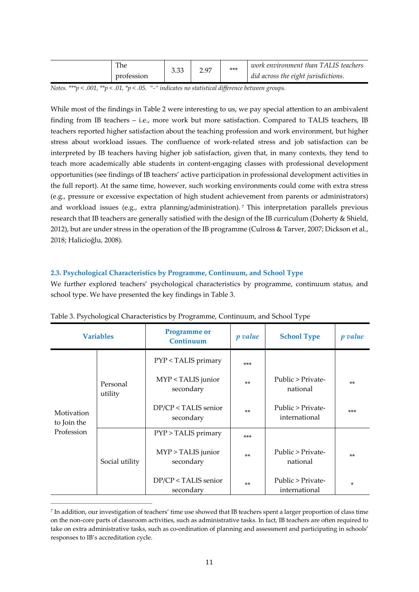| The<br>ה ה<br>3.33 -<br>profession |  | *** | work environment than TALIS teachers<br>did across the eight jurisdictions. |
|------------------------------------|--|-----|-----------------------------------------------------------------------------|
|------------------------------------|--|-----|-----------------------------------------------------------------------------|

*Notes. \*\*\*p < .001, \*\*p < .01, \*p < .05. "-" indicates no statistical difference between groups.* 

While most of the findings in Table 2 were interesting to us, we pay special attention to an ambivalent finding from IB teachers – i.e., more work but more satisfaction. Compared to TALIS teachers, IB teachers reported higher satisfaction about the teaching profession and work environment, but higher stress about workload issues. The confluence of work-related stress and job satisfaction can be interpreted by IB teachers having higher job satisfaction, given that, in many contexts, they tend to teach more academically able students in content-engaging classes with professional development opportunities (see findings of IB teachers' active participation in professional development activities in the full report). At the same time, however, such working environments could come with extra stress (e.g., pressure or excessive expectation of high student achievement from parents or administrators) and workload issues (e.g., extra planning/administration). [7](#page-10-0) This interpretation parallels previous research that IB teachers are generally satisfied with the design of the IB curriculum (Doherty & Shield, 2012), but are under stress in the operation of the IB programme (Culross & Tarver, 2007; Dickson et al., 2018; Halicioğlu, 2008).

#### **2.3. Psychological Characteristics by Programme, Continuum, and School Type**

We further explored teachers' psychological characteristics by programme, continuum status, and school type. We have presented the key findings in Table 3.

| <b>Variables</b>                        |                     | <b>Programme</b> or<br>Continuum  | p value | <b>School Type</b>                 | <i>p</i> value |
|-----------------------------------------|---------------------|-----------------------------------|---------|------------------------------------|----------------|
|                                         |                     | PYP < TALIS primary               | $***$   |                                    |                |
| Motivation<br>to Join the<br>Profession | Personal<br>utility | MYP < TALIS junior<br>secondary   | $**$    | Public > Private-<br>national      | $**$           |
|                                         |                     | DP/CP < TALIS senior<br>secondary | $**$    | Public > Private-<br>international | $***$          |
|                                         | Social utility      | PYP > TALIS primary               | $***$   |                                    |                |
|                                         |                     | MYP > TALIS junior<br>secondary   | $**$    | Public > Private-<br>national      | $**$           |
|                                         |                     | DP/CP < TALIS senior<br>secondary | $**$    | Public > Private-<br>international | ×.             |

Table 3. Psychological Characteristics by Programme, Continuum, and School Type

<span id="page-10-0"></span><sup>7</sup> In addition, our investigation of teachers' time use showed that IB teachers spent a larger proportion of class time on the non-core parts of classroom activities, such as administrative tasks. In fact, IB teachers are often required to take on extra administrative tasks, such as co-ordination of planning and assessment and participating in schools' responses to IB's accreditation cycle.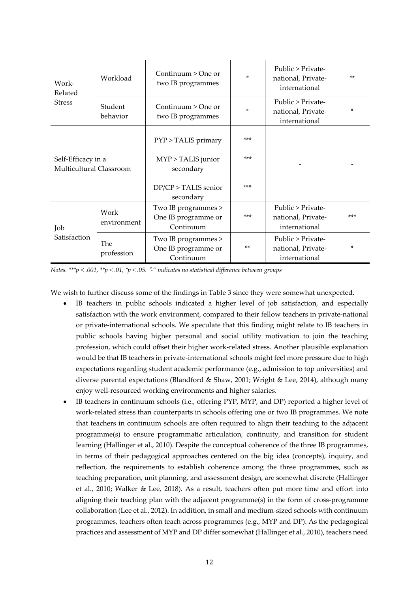| Work-<br>Related                              | Workload                                                                     | Continuum $>$ One or<br>two IB programmes               | ×     | Public > Private-<br>national, Private-<br>international | $**$  |
|-----------------------------------------------|------------------------------------------------------------------------------|---------------------------------------------------------|-------|----------------------------------------------------------|-------|
| <b>Stress</b>                                 | Student<br>behavior                                                          | Continuum > One or<br>two IB programmes                 | ×     | Public > Private-<br>national, Private-<br>international | ×     |
|                                               |                                                                              | PYP > TALIS primary                                     | $***$ |                                                          |       |
| Self-Efficacy in a<br>Multicultural Classroom |                                                                              | MYP > TALIS junior<br>secondary                         | $***$ |                                                          |       |
|                                               |                                                                              | DP/CP > TALIS senior<br>secondary                       | $***$ |                                                          |       |
| Work<br>environment<br>Job                    |                                                                              | Two IB programmes ><br>One IB programme or<br>Continuum | $***$ | Public > Private-<br>national, Private-<br>international | $***$ |
| Satisfaction                                  | Two IB programmes ><br>The<br>One IB programme or<br>profession<br>Continuum |                                                         | $**$  | Public > Private-<br>national, Private-<br>international | ×     |

*Notes. \*\*\*p < .001, \*\*p < .01, \*p < .05.* "*-" indicates no statistical difference between groups*

We wish to further discuss some of the findings in Table 3 since they were somewhat unexpected.

- IB teachers in public schools indicated a higher level of job satisfaction, and especially satisfaction with the work environment, compared to their fellow teachers in private-national or private-international schools. We speculate that this finding might relate to IB teachers in public schools having higher personal and social utility motivation to join the teaching profession, which could offset their higher work-related stress. Another plausible explanation would be that IB teachers in private-international schools might feel more pressure due to high expectations regarding student academic performance (e.g., admission to top universities) and diverse parental expectations (Blandford & Shaw, 2001; Wright & Lee, 2014), although many enjoy well-resourced working environments and higher salaries.
- IB teachers in continuum schools (i.e., offering PYP, MYP, and DP) reported a higher level of work-related stress than counterparts in schools offering one or two IB programmes. We note that teachers in continuum schools are often required to align their teaching to the adjacent programme(s) to ensure programmatic articulation, continuity, and transition for student learning (Hallinger et al., 2010). Despite the conceptual coherence of the three IB programmes, in terms of their pedagogical approaches centered on the big idea (concepts), inquiry, and reflection, the requirements to establish coherence among the three programmes, such as teaching preparation, unit planning, and assessment design, are somewhat discrete (Hallinger et al., 2010; Walker & Lee, 2018). As a result, teachers often put more time and effort into aligning their teaching plan with the adjacent programme(s) in the form of cross-programme collaboration (Lee et al., 2012). In addition, in small and medium-sized schools with continuum programmes, teachers often teach across programmes (e.g., MYP and DP). As the pedagogical practices and assessment of MYP and DP differ somewhat (Hallinger et al., 2010), teachers need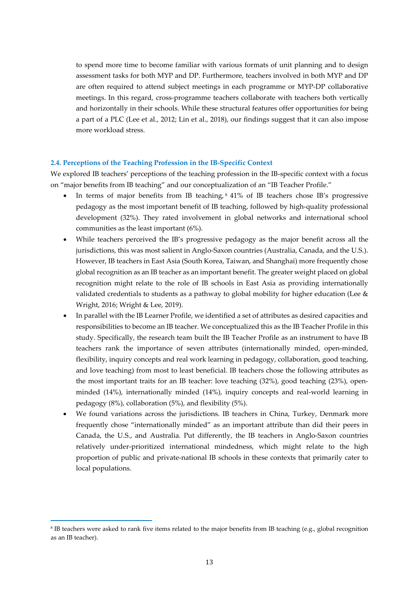to spend more time to become familiar with various formats of unit planning and to design assessment tasks for both MYP and DP. Furthermore, teachers involved in both MYP and DP are often required to attend subject meetings in each programme or MYP-DP collaborative meetings. In this regard, cross-programme teachers collaborate with teachers both vertically and horizontally in their schools. While these structural features offer opportunities for being a part of a PLC (Lee et al., 2012; Lin et al., 2018), our findings suggest that it can also impose more workload stress.

#### **2.4. Perceptions of the Teaching Profession in the IB-Specific Context**

We explored IB teachers' perceptions of the teaching profession in the IB-specific context with a focus on "major benefits from IB teaching" and our conceptualization of an "IB Teacher Profile."

- In terms of major benefits from IB teaching, [8](#page-12-0) 41% of IB teachers chose IB's progressive pedagogy as the most important benefit of IB teaching, followed by high-quality professional development (32%). They rated involvement in global networks and international school communities as the least important (6%).
- While teachers perceived the IB's progressive pedagogy as the major benefit across all the jurisdictions, this was most salient in Anglo-Saxon countries (Australia, Canada, and the U.S.). However, IB teachers in East Asia (South Korea, Taiwan, and Shanghai) more frequently chose global recognition as an IB teacher as an important benefit. The greater weight placed on global recognition might relate to the role of IB schools in East Asia as providing internationally validated credentials to students as a pathway to global mobility for higher education (Lee & Wright, 2016; Wright & Lee, 2019).
- In parallel with the IB Learner Profile, we identified a set of attributes as desired capacities and responsibilities to become an IB teacher. We conceptualized this as the IB Teacher Profile in this study. Specifically, the research team built the IB Teacher Profile as an instrument to have IB teachers rank the importance of seven attributes (internationally minded, open-minded, flexibility, inquiry concepts and real work learning in pedagogy, collaboration, good teaching, and love teaching) from most to least beneficial. IB teachers chose the following attributes as the most important traits for an IB teacher: love teaching (32%), good teaching (23%), openminded (14%), internationally minded (14%), inquiry concepts and real-world learning in pedagogy (8%), collaboration (5%), and flexibility (5%).
- We found variations across the jurisdictions. IB teachers in China, Turkey, Denmark more frequently chose "internationally minded" as an important attribute than did their peers in Canada, the U.S., and Australia. Put differently, the IB teachers in Anglo-Saxon countries relatively under-prioritized international mindedness, which might relate to the high proportion of public and private-national IB schools in these contexts that primarily cater to local populations.

<span id="page-12-0"></span><sup>8</sup> IB teachers were asked to rank five items related to the major benefits from IB teaching (e.g., global recognition as an IB teacher).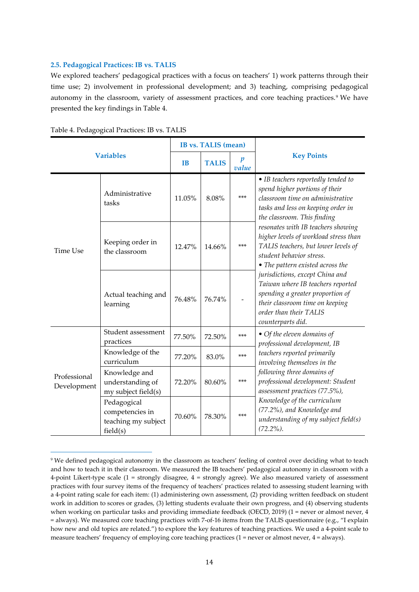#### **2.5. Pedagogical Practices: IB vs. TALIS**

We explored teachers' pedagogical practices with a focus on teachers' 1) work patterns through their time use; 2) involvement in professional development; and 3) teaching, comprising pedagogical autonomy in the classroom, variety of assessment practices, and core teaching practices.<sup>[9](#page-13-0)</sup> We have presented the key findings in Table 4.

| <b>Variables</b>            |                                                                   |           | <b>IB</b> vs. TALIS (mean) |                           |                                                                                                                                                                                            |
|-----------------------------|-------------------------------------------------------------------|-----------|----------------------------|---------------------------|--------------------------------------------------------------------------------------------------------------------------------------------------------------------------------------------|
|                             |                                                                   | <b>IB</b> | <b>TALIS</b>               | $\boldsymbol{p}$<br>value | <b>Key Points</b>                                                                                                                                                                          |
|                             | Administrative<br>tasks                                           | 11.05%    | 8.08%                      | $***$                     | • IB teachers reportedly tended to<br>spend higher portions of their<br>classroom time on administrative<br>tasks and less on keeping order in<br>the classroom. This finding              |
| <b>Time Use</b>             | Keeping order in<br>the classroom                                 | 12.47%    | 14.66%                     | $***$                     | resonates with IB teachers showing<br>higher levels of workload stress than<br>TALIS teachers, but lower levels of<br>student behavior stress.<br>• The pattern existed across the         |
|                             | Actual teaching and<br>learning                                   | 76.48%    | 76.74%                     |                           | jurisdictions, except China and<br>Taiwan where IB teachers reported<br>spending a greater proportion of<br>their classroom time on keeping<br>order than their TALIS<br>counterparts did. |
|                             | Student assessment<br>practices                                   | 77.50%    | 72.50%                     | ***                       | • Of the eleven domains of<br>professional development, IB                                                                                                                                 |
| Professional<br>Development | Knowledge of the<br>curriculum                                    | 77.20%    | 83.0%                      | ***                       | teachers reported primarily<br>involving themselves in the                                                                                                                                 |
|                             | Knowledge and<br>understanding of<br>my subject field(s)          | 72.20%    | 80.60%                     | $***$                     | following three domains of<br>professional development: Student<br>assessment practices (77.5%),                                                                                           |
|                             | Pedagogical<br>competencies in<br>teaching my subject<br>field(s) | 70.60%    | 78.30%                     | ***                       | Knowledge of the curriculum<br>(77.2%), and Knowledge and<br>understanding of my subject field $(s)$<br>$(72.2\%).$                                                                        |

Table 4. Pedagogical Practices: IB vs. TALIS

<span id="page-13-0"></span><sup>9</sup> We defined pedagogical autonomy in the classroom as teachers' feeling of control over deciding what to teach and how to teach it in their classroom. We measured the IB teachers' pedagogical autonomy in classroom with a 4-point Likert-type scale (1 = strongly disagree, 4 = strongly agree). We also measured variety of assessment practices with four survey items of the frequency of teachers' practices related to assessing student learning with a 4-point rating scale for each item: (1) administering own assessment, (2) providing written feedback on student work in addition to scores or grades, (3) letting students evaluate their own progress, and (4) observing students when working on particular tasks and providing immediate feedback (OECD, 2019) (1 = never or almost never, 4 = always). We measured core teaching practices with 7-of-16 items from the TALIS questionnaire (e.g., "I explain how new and old topics are related.") to explore the key features of teaching practices. We used a 4-point scale to measure teachers' frequency of employing core teaching practices (1 = never or almost never, 4 = always).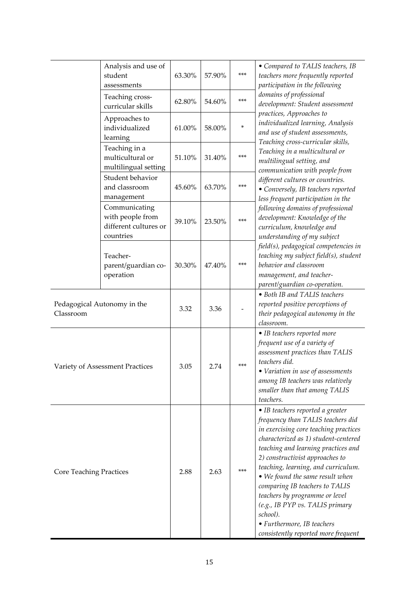|                                          | Analysis and use of<br>student<br>assessments                           | 63.30% | 57.90% | $***$ | • Compared to TALIS teachers, IB<br>teachers more frequently reported<br>participation in the following                                                                                                                                                                                                                                                                                                                                                                                            |
|------------------------------------------|-------------------------------------------------------------------------|--------|--------|-------|----------------------------------------------------------------------------------------------------------------------------------------------------------------------------------------------------------------------------------------------------------------------------------------------------------------------------------------------------------------------------------------------------------------------------------------------------------------------------------------------------|
|                                          | Teaching cross-<br>curricular skills                                    | 62.80% | 54.60% | ***   | domains of professional<br>development: Student assessment                                                                                                                                                                                                                                                                                                                                                                                                                                         |
|                                          | Approaches to<br>individualized<br>learning                             | 61.00% | 58.00% | ×     | practices, Approaches to<br>individualized learning, Analysis<br>and use of student assessments,<br>Teaching cross-curricular skills,                                                                                                                                                                                                                                                                                                                                                              |
|                                          | Teaching in a<br>multicultural or<br>multilingual setting               | 51.10% | 31.40% | $***$ | Teaching in a multicultural or<br>multilingual setting, and<br>communication with people from                                                                                                                                                                                                                                                                                                                                                                                                      |
|                                          | Student behavior<br>and classroom<br>management                         | 45.60% | 63.70% | ***   | different cultures or countries.<br>• Conversely, IB teachers reported<br>less frequent participation in the                                                                                                                                                                                                                                                                                                                                                                                       |
|                                          | Communicating<br>with people from<br>different cultures or<br>countries | 39.10% | 23.50% | $***$ | following domains of professional<br>development: Knowledge of the<br>curriculum, knowledge and<br>understanding of my subject                                                                                                                                                                                                                                                                                                                                                                     |
|                                          | Teacher-<br>parent/guardian co-<br>operation                            | 30.30% | 47.40% | $***$ | field(s), pedagogical competencies in<br>teaching my subject field(s), student<br>behavior and classroom<br>management, and teacher-<br>parent/guardian co-operation.                                                                                                                                                                                                                                                                                                                              |
| Pedagogical Autonomy in the<br>Classroom |                                                                         | 3.32   | 3.36   |       | • Both IB and TALIS teachers<br>reported positive perceptions of<br>their pedagogical autonomy in the<br>classroom.                                                                                                                                                                                                                                                                                                                                                                                |
| Variety of Assessment Practices          |                                                                         | 3.05   | 2.74   | $***$ | • IB teachers reported more<br>frequent use of a variety of<br>assessment practices than TALIS<br>teachers did.<br>• Variation in use of assessments<br>among IB teachers was relatively<br>smaller than that among TALIS<br>teachers.                                                                                                                                                                                                                                                             |
| <b>Core Teaching Practices</b>           |                                                                         | 2.88   | 2.63   | $***$ | • IB teachers reported a greater<br>frequency than TALIS teachers did<br>in exercising core teaching practices<br>characterized as 1) student-centered<br>teaching and learning practices and<br>2) constructivist approaches to<br>teaching, learning, and curriculum.<br>• We found the same result when<br>comparing IB teachers to TALIS<br>teachers by programme or level<br>(e.g., IB PYP vs. TALIS primary<br>school).<br>• Furthermore, IB teachers<br>consistently reported more frequent |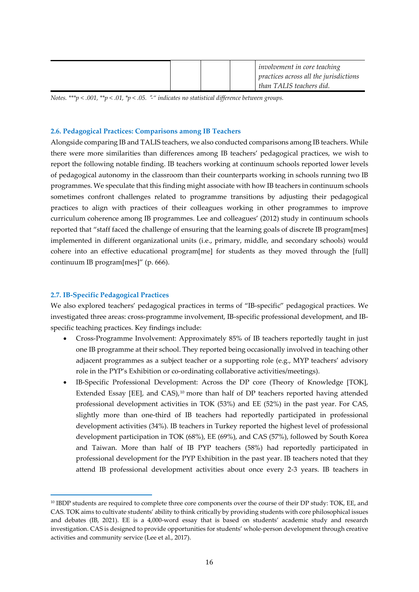*Notes. \*\*\*p < .001, \*\*p < .01, \*p < .05.* "*-" indicates no statistical difference between groups.* 

#### **2.6. Pedagogical Practices: Comparisons among IB Teachers**

Alongside comparing IB and TALIS teachers, we also conducted comparisons among IB teachers. While there were more similarities than differences among IB teachers' pedagogical practices, we wish to report the following notable finding. IB teachers working at continuum schools reported lower levels of pedagogical autonomy in the classroom than their counterparts working in schools running two IB programmes. We speculate that this finding might associate with how IB teachers in continuum schools sometimes confront challenges related to programme transitions by adjusting their pedagogical practices to align with practices of their colleagues working in other programmes to improve curriculum coherence among IB programmes. Lee and colleagues' (2012) study in continuum schools reported that "staff faced the challenge of ensuring that the learning goals of discrete IB program[mes] implemented in different organizational units (i.e., primary, middle, and secondary schools) would cohere into an effective educational program[me] for students as they moved through the [full] continuum IB program[mes]" (p. 666).

#### **2.7. IB-Specific Pedagogical Practices**

We also explored teachers' pedagogical practices in terms of "IB-specific" pedagogical practices. We investigated three areas: cross-programme involvement, IB-specific professional development, and IBspecific teaching practices. Key findings include:

- Cross-Programme Involvement: Approximately 85% of IB teachers reportedly taught in just one IB programme at their school. They reported being occasionally involved in teaching other adjacent programmes as a subject teacher or a supporting role (e.g., MYP teachers' advisory role in the PYP's Exhibition or co-ordinating collaborative activities/meetings).
- IB-Specific Professional Development: Across the DP core (Theory of Knowledge [TOK], Extended Essay [EE], and CAS), $10$  more than half of DP teachers reported having attended professional development activities in TOK (53%) and EE (52%) in the past year. For CAS, slightly more than one-third of IB teachers had reportedly participated in professional development activities (34%). IB teachers in Turkey reported the highest level of professional development participation in TOK (68%), EE (69%), and CAS (57%), followed by South Korea and Taiwan. More than half of IB PYP teachers (58%) had reportedly participated in professional development for the PYP Exhibition in the past year. IB teachers noted that they attend IB professional development activities about once every 2-3 years. IB teachers in

<span id="page-15-0"></span><sup>10</sup> IBDP students are required to complete three core components over the course of their DP study: TOK, EE, and CAS. TOK aims to cultivate students' ability to think critically by providing students with core philosophical issues and debates (IB, 2021). EE is a 4,000-word essay that is based on students' academic study and research investigation. CAS is designed to provide opportunities for students' whole-person development through creative activities and community service (Lee et al., 2017).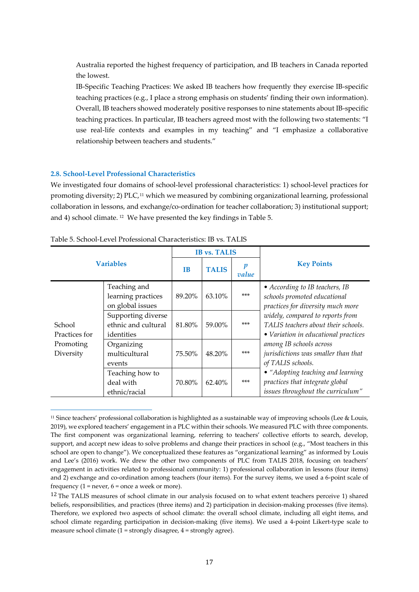Australia reported the highest frequency of participation, and IB teachers in Canada reported the lowest.

IB-Specific Teaching Practices: We asked IB teachers how frequently they exercise IB-specific teaching practices (e.g., I place a strong emphasis on students' finding their own information). Overall, IB teachers showed moderately positive responses to nine statements about IB-specific teaching practices. In particular, IB teachers agreed most with the following two statements: "I use real-life contexts and examples in my teaching" and "I emphasize a collaborative relationship between teachers and students."

#### **2.8. School-Level Professional Characteristics**

We investigated four domains of school-level professional characteristics: 1) school-level practices for promoting diversity; 2) PLC,<sup>[11](#page-16-0)</sup> which we measured by combining organizational learning, professional collaboration in lessons, and exchange/co-ordination for teacher collaboration; 3) institutional support; and 4) school climate. [12](#page-16-1) We have presented the key findings in Table 5.

|                         |                                                         |           | <b>IB vs. TALIS</b> |                           |                                                                                                                 |  |
|-------------------------|---------------------------------------------------------|-----------|---------------------|---------------------------|-----------------------------------------------------------------------------------------------------------------|--|
| <b>Variables</b>        |                                                         | <b>IB</b> | <b>TALIS</b>        | $\boldsymbol{p}$<br>value | <b>Key Points</b>                                                                                               |  |
|                         | Teaching and<br>learning practices<br>on global issues  | 89.20%    | 63.10%              | $***$                     | • According to IB teachers, IB<br>schools promoted educational<br>practices for diversity much more             |  |
| School<br>Practices for | Supporting diverse<br>ethnic and cultural<br>identities | 81.80%    | 59.00%              | $***$                     | widely, compared to reports from<br>TALIS teachers about their schools.<br>• Variation in educational practices |  |
| Promoting<br>Diversity  | Organizing<br>multicultural<br>events                   | 75.50%    | 48.20%              | $***$                     | among IB schools across<br>jurisdictions was smaller than that<br>of TALIS schools.                             |  |
|                         | Teaching how to<br>deal with<br>ethnic/racial           | 70.80%    | 62.40%              | $***$                     | • "Adopting teaching and learning<br>practices that integrate global<br>issues throughout the curriculum"       |  |

Table 5. School-Level Professional Characteristics: IB vs. TALIS

<span id="page-16-0"></span><sup>&</sup>lt;sup>11</sup> Since teachers' professional collaboration is highlighted as a sustainable way of improving schools (Lee & Louis, 2019), we explored teachers' engagement in a PLC within their schools. We measured PLC with three components. The first component was organizational learning, referring to teachers' collective efforts to search, develop, support, and accept new ideas to solve problems and change their practices in school (e.g., "Most teachers in this school are open to change"). We conceptualized these features as "organizational learning" as informed by Louis and Lee's (2016) work. We drew the other two components of PLC from TALIS 2018, focusing on teachers' engagement in activities related to professional community: 1) professional collaboration in lessons (four items) and 2) exchange and co-ordination among teachers (four items). For the survey items, we used a 6-point scale of frequency  $(1 = never, 6 = once a week or more).$ 

<span id="page-16-1"></span><sup>&</sup>lt;sup>12</sup> The TALIS measures of school climate in our analysis focused on to what extent teachers perceive 1) shared beliefs, responsibilities, and practices (three items) and 2) participation in decision-making processes (five items). Therefore, we explored two aspects of school climate: the overall school climate, including all eight items, and school climate regarding participation in decision-making (five items). We used a 4-point Likert-type scale to measure school climate (1 = strongly disagree, 4 = strongly agree).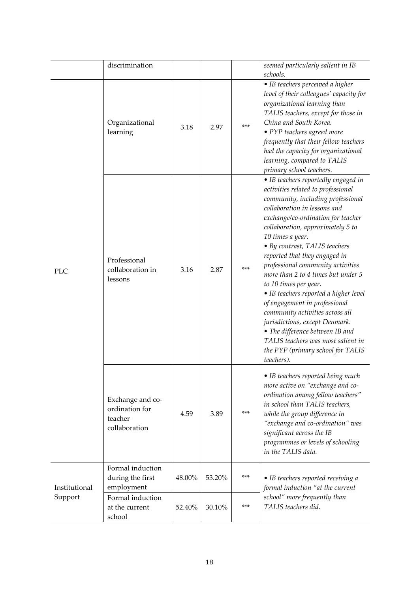|               | discrimination                                                 |        |        |     | seemed particularly salient in IB<br>schools.                                                                                                                                                                                                                                                                                                                                                                                                                                                                                                                                                                                                                                                  |
|---------------|----------------------------------------------------------------|--------|--------|-----|------------------------------------------------------------------------------------------------------------------------------------------------------------------------------------------------------------------------------------------------------------------------------------------------------------------------------------------------------------------------------------------------------------------------------------------------------------------------------------------------------------------------------------------------------------------------------------------------------------------------------------------------------------------------------------------------|
| <b>PLC</b>    | Organizational<br>learning                                     | 3.18   | 2.97   | *** | · IB teachers perceived a higher<br>level of their colleagues' capacity for<br>organizational learning than<br>TALIS teachers, except for those in<br>China and South Korea.<br>• PYP teachers agreed more<br>frequently that their fellow teachers<br>had the capacity for organizational<br>learning, compared to TALIS<br>primary school teachers.                                                                                                                                                                                                                                                                                                                                          |
|               | Professional<br>collaboration in<br>lessons                    | 3.16   | 2.87   | *** | • IB teachers reportedly engaged in<br>activities related to professional<br>community, including professional<br>collaboration in lessons and<br>exchange/co-ordination for teacher<br>collaboration, approximately 5 to<br>10 times a year.<br>• By contrast, TALIS teachers<br>reported that they engaged in<br>professional community activities<br>more than 2 to 4 times but under 5<br>to 10 times per year.<br>• IB teachers reported a higher level<br>of engagement in professional<br>community activities across all<br>jurisdictions, except Denmark.<br>• The difference between IB and<br>TALIS teachers was most salient in<br>the PYP (primary school for TALIS<br>teachers). |
|               | Exchange and co-<br>ordination for<br>teacher<br>collaboration | 4.59   | 3.89   | *** | • IB teachers reported being much<br>more active on "exchange and co-<br>ordination among fellow teachers"<br>in school than TALIS teachers,<br>while the group difference in<br>"exchange and co-ordination" was<br>significant across the IB<br>programmes or levels of schooling<br>in the TALIS data.                                                                                                                                                                                                                                                                                                                                                                                      |
| Institutional | Formal induction<br>during the first<br>employment             | 48.00% | 53.20% | *** | • IB teachers reported receiving a<br>formal induction "at the current                                                                                                                                                                                                                                                                                                                                                                                                                                                                                                                                                                                                                         |
| Support       | Formal induction<br>at the current<br>school                   | 52.40% | 30.10% | *** | school" more frequently than<br>TALIS teachers did.                                                                                                                                                                                                                                                                                                                                                                                                                                                                                                                                                                                                                                            |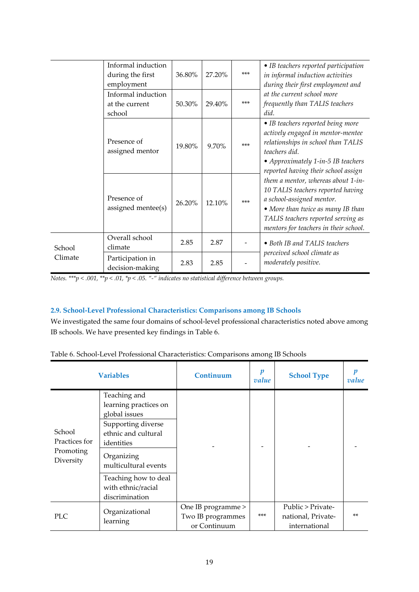|         | Informal induction<br>during the first<br>employment | 36.80% | 27.20% | $***$ | • IB teachers reported participation<br>in informal induction activities<br>during their first employment and                                                                                                            |
|---------|------------------------------------------------------|--------|--------|-------|--------------------------------------------------------------------------------------------------------------------------------------------------------------------------------------------------------------------------|
|         | Informal induction<br>at the current<br>school       | 50.30% | 29.40% | $***$ | at the current school more<br>frequently than TALIS teachers<br>did.                                                                                                                                                     |
|         | Presence of<br>assigned mentor                       | 19.80% | 9.70%  | $***$ | • IB teachers reported being more<br>actively engaged in mentor-mentee<br>relationships in school than TALIS<br>teachers did.<br>• Approximately 1-in-5 IB teachers<br>reported having their school assign               |
|         | Presence of<br>assigned mentee(s)                    | 26.20% | 12.10% | $***$ | them a mentor, whereas about 1-in-<br>10 TALIS teachers reported having<br>a school-assigned mentor.<br>• More than twice as many IB than<br>TALIS teachers reported serving as<br>mentors for teachers in their school. |
| School  | Overall school<br>climate                            | 2.85   | 2.87   |       | • Both IB and TALIS teachers                                                                                                                                                                                             |
| Climate | Participation in<br>decision-making                  | 2.83   | 2.85   |       | perceived school climate as<br>moderately positive.                                                                                                                                                                      |

*Notes. \*\*\*p < .001, \*\*p < .01, \*p < .05. "-" indicates no statistical difference between groups.* 

### **2.9. School-Level Professional Characteristics: Comparisons among IB Schools**

We investigated the same four domains of school-level professional characteristics noted above among IB schools. We have presented key findings in Table 6.

| <b>Variables</b>                                  |                                                                                                                                                         | Continuum                                               | $\boldsymbol{p}$<br>value | <b>School Type</b>                                       | п<br>value |
|---------------------------------------------------|---------------------------------------------------------------------------------------------------------------------------------------------------------|---------------------------------------------------------|---------------------------|----------------------------------------------------------|------------|
| School<br>Practices for<br>Promoting<br>Diversity | Teaching and<br>learning practices on<br>global issues<br>Supporting diverse<br>ethnic and cultural<br>identities<br>Organizing<br>multicultural events |                                                         |                           |                                                          |            |
|                                                   | Teaching how to deal<br>with ethnic/racial<br>discrimination                                                                                            |                                                         |                           |                                                          |            |
| <b>PLC</b>                                        | Organizational<br>learning                                                                                                                              | One IB programme ><br>Two IB programmes<br>or Continuum | $***$                     | Public > Private-<br>national, Private-<br>international | $**$       |

| Table 6. School-Level Professional Characteristics: Comparisons among IB Schools |  |  |  |
|----------------------------------------------------------------------------------|--|--|--|
|----------------------------------------------------------------------------------|--|--|--|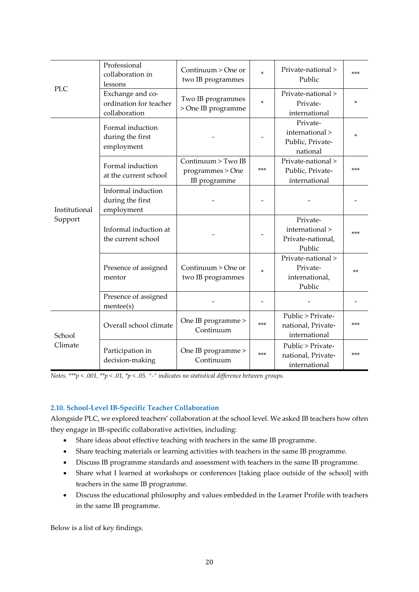|                          | Professional<br>collaboration in<br>lessons                 | Continuum > One or<br>two IB programmes                | *     | Private-national ><br>Public                                | ***   |
|--------------------------|-------------------------------------------------------------|--------------------------------------------------------|-------|-------------------------------------------------------------|-------|
| <b>PLC</b>               | Exchange and co-<br>ordination for teacher<br>collaboration | Two IB programmes<br>> One IB programme                | ×.    | Private-national ><br>Private-<br>international             | *     |
|                          | Formal induction<br>during the first<br>employment          |                                                        |       | Private-<br>international ><br>Public, Private-<br>national | x.    |
| Institutional<br>Support | Formal induction<br>at the current school                   | Continuum > Two IB<br>programmes > One<br>IB programme | ***   | Private-national ><br>Public, Private-<br>international     | ***   |
|                          | Informal induction<br>during the first<br>employment        |                                                        |       |                                                             |       |
|                          | Informal induction at<br>the current school                 |                                                        |       | Private-<br>international ><br>Private-national,<br>Public  | $***$ |
|                          | Presence of assigned<br>mentor                              | Continuum > One or<br>two IB programmes                | ×.    | Private-national ><br>Private-<br>international,<br>Public  | $**$  |
|                          | Presence of assigned<br>mente(s)                            |                                                        |       |                                                             |       |
| School                   | Overall school climate                                      | One IB programme ><br>Continuum                        | ***   | Public > Private-<br>national, Private-<br>international    | ***   |
| Climate                  | Participation in<br>decision-making                         | One IB programme ><br>Continuum                        | $***$ | Public > Private-<br>national, Private-<br>international    | $***$ |

*Notes. \*\*\*p < .001, \*\*p < .01, \*p < .05. "-" indicates no statistical difference between groups.* 

## **2.10. School-Level IB-Specific Teacher Collaboration**

Alongside PLC, we explored teachers' collaboration at the school level. We asked IB teachers how often they engage in IB-specific collaborative activities, including:

- Share ideas about effective teaching with teachers in the same IB programme.
- Share teaching materials or learning activities with teachers in the same IB programme.
- Discuss IB programme standards and assessment with teachers in the same IB programme.
- Share what I learned at workshops or conferences [taking place outside of the school] with teachers in the same IB programme.
- Discuss the educational philosophy and values embedded in the Learner Profile with teachers in the same IB programme.

Below is a list of key findings.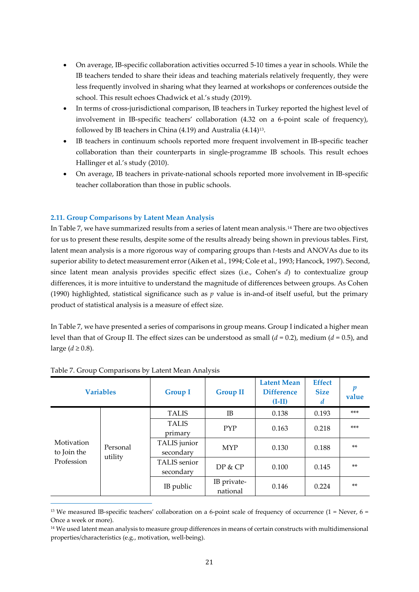- On average, IB-specific collaboration activities occurred 5-10 times a year in schools. While the IB teachers tended to share their ideas and teaching materials relatively frequently, they were less frequently involved in sharing what they learned at workshops or conferences outside the school. This result echoes Chadwick et al.'s study (2019).
- In terms of cross-jurisdictional comparison, IB teachers in Turkey reported the highest level of involvement in IB-specific teachers' collaboration (4.32 on a 6-point scale of frequency), followed by IB teachers in China (4.19) and Australia (4.14)[13.](#page-20-0)
- IB teachers in continuum schools reported more frequent involvement in IB-specific teacher collaboration than their counterparts in single-programme IB schools. This result echoes Hallinger et al.'s study (2010).
- On average, IB teachers in private-national schools reported more involvement in IB-specific teacher collaboration than those in public schools.

### **2.11. Group Comparisons by Latent Mean Analysis**

In Table 7, we have summarized results from a series of latent mean analysis.[14](#page-20-1) There are two objectives for us to present these results, despite some of the results already being shown in previous tables. First, latent mean analysis is a more rigorous way of comparing groups than *t*-tests and ANOVAs due to its superior ability to detect measurement error (Aiken et al., 1994; Cole et al., 1993; Hancock, 1997). Second, since latent mean analysis provides specific effect sizes (i.e., Cohen's *d*) to contextualize group differences, it is more intuitive to understand the magnitude of differences between groups. As Cohen (1990) highlighted, statistical significance such as *p* value is in-and-of itself useful, but the primary product of statistical analysis is a measure of effect size.

In Table 7, we have presented a series of comparisons in group means. Group I indicated a higher mean level than that of Group II. The effect sizes can be understood as small (*d*  =  0.2), medium (*d*  =  0.5), and large  $(d \ge 0.8)$ .

| <b>Variables</b>                                               |  | <b>Group I</b>            | <b>Group II</b>         | <b>Latent Mean</b><br><b>Difference</b><br>$(I-II)$ | <b>Effect</b><br><b>Size</b><br>d | р<br>value |
|----------------------------------------------------------------|--|---------------------------|-------------------------|-----------------------------------------------------|-----------------------------------|------------|
|                                                                |  | <b>TALIS</b>              | IB                      | 0.138                                               | 0.193                             | $***$      |
| Motivation<br>Personal<br>to Join the<br>utility<br>Profession |  | <b>TALIS</b><br>primary   | <b>PYP</b>              | 0.163                                               | 0.218                             | $***$      |
|                                                                |  | TALIS junior<br>secondary | <b>MYP</b>              | 0.130                                               | 0.188                             | $**$       |
|                                                                |  | TALIS senior<br>secondary | DP & CP                 | 0.100                                               | 0.145                             | $**$       |
|                                                                |  | IB public                 | IB private-<br>national | 0.146                                               | 0.224                             | $**$       |

#### Table 7. Group Comparisons by Latent Mean Analysis

<span id="page-20-0"></span><sup>&</sup>lt;sup>13</sup> We measured IB-specific teachers' collaboration on a 6-point scale of frequency of occurrence (1 = Never, 6 = Once a week or more).

<span id="page-20-1"></span><sup>&</sup>lt;sup>14</sup> We used latent mean analysis to measure group differences in means of certain constructs with multidimensional properties/characteristics (e.g., motivation, well-being).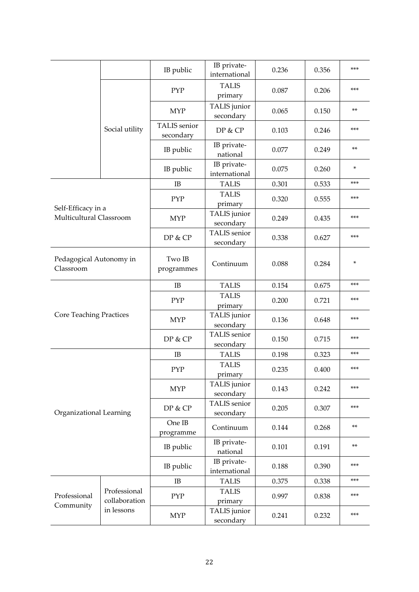|                                      |                               | IB public                 | IB private-<br>international     | 0.236 | 0.356 | ***   |
|--------------------------------------|-------------------------------|---------------------------|----------------------------------|-------|-------|-------|
|                                      |                               | <b>PYP</b>                | <b>TALIS</b><br>primary          | 0.087 | 0.206 | ***   |
|                                      |                               | <b>MYP</b>                | TALIS junior<br>secondary        | 0.065 | 0.150 | **    |
|                                      | Social utility                | TALIS senior<br>secondary | DP & CP                          | 0.103 | 0.246 | ***   |
|                                      |                               | IB public                 | IB private-<br>national          | 0.077 | 0.249 | **    |
|                                      |                               | IB public                 | IB private-<br>international     | 0.075 | 0.260 | ×     |
|                                      |                               | IB                        | <b>TALIS</b>                     | 0.301 | 0.533 | ***   |
| Self-Efficacy in a                   |                               | PYP                       | <b>TALIS</b><br>primary          | 0.320 | 0.555 | ***   |
| Multicultural Classroom              |                               | <b>MYP</b>                | TALIS junior<br>secondary        | 0.249 | 0.435 | ***   |
|                                      |                               | DP & CP                   | <b>TALIS</b> senior<br>secondary | 0.338 | 0.627 | ***   |
| Pedagogical Autonomy in<br>Classroom |                               | Two IB<br>programmes      | Continuum                        | 0.088 | 0.284 | ×     |
|                                      |                               | IB                        | <b>TALIS</b>                     | 0.154 | 0.675 | ***   |
|                                      |                               | PYP                       | <b>TALIS</b><br>primary          | 0.200 | 0.721 | ***   |
| <b>Core Teaching Practices</b>       |                               | <b>MYP</b>                |                                  | 0.136 | 0.648 | ***   |
|                                      |                               | DP & CP                   | <b>TALIS</b> senior<br>secondary | 0.150 | 0.715 | ***   |
|                                      |                               | IB                        | <b>TALIS</b>                     | 0.198 | 0.323 | ***   |
|                                      |                               | <b>PYP</b>                | <b>TALIS</b><br>primary          | 0.235 | 0.400 | ***   |
|                                      |                               | <b>MYP</b>                | TALIS junior<br>secondary        | 0.143 | 0.242 | ***   |
| Organizational Learning              |                               | DP & CP                   | TALIS senior<br>secondary        | 0.205 | 0.307 | ***   |
|                                      |                               | One IB<br>programme       | Continuum                        | 0.144 | 0.268 | **    |
|                                      |                               | IB public                 | IB private-<br>national          | 0.101 | 0.191 | $***$ |
|                                      |                               | IB public                 | IB private-<br>international     | 0.188 | 0.390 | ***   |
|                                      |                               | IB                        | <b>TALIS</b>                     | 0.375 | 0.338 | ***   |
| Professional                         | Professional<br>collaboration | PYP                       | <b>TALIS</b><br>primary          | 0.997 | 0.838 | ***   |
| Community                            | in lessons                    | <b>MYP</b>                | TALIS junior<br>secondary        | 0.241 | 0.232 | ***   |
|                                      |                               |                           |                                  |       |       |       |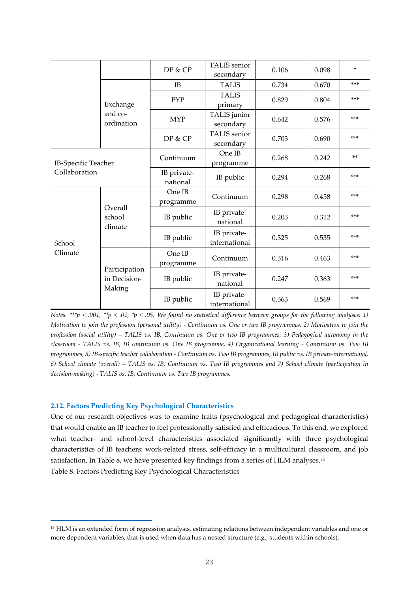|                                             |                               | DP & CP                              | <b>TALIS</b> senior<br>secondary | 0.106 | 0.098 | ×     |
|---------------------------------------------|-------------------------------|--------------------------------------|----------------------------------|-------|-------|-------|
|                                             |                               | IB                                   | <b>TALIS</b>                     | 0.734 | 0.670 | ***   |
|                                             | Exchange                      | <b>PYP</b>                           | <b>TALIS</b><br>primary          | 0.829 | 0.804 | $***$ |
|                                             | and co-<br>ordination         | <b>MYP</b>                           | TALIS junior<br>secondary        | 0.642 | 0.576 | $***$ |
|                                             |                               | DP & CP                              | TALIS senior<br>secondary        | 0.703 | 0.690 | ***   |
| <b>IB-Specific Teacher</b><br>Collaboration |                               | Continuum                            | One IB<br>programme              | 0.268 | 0.242 | $***$ |
|                                             |                               | IB private-<br>IB public<br>national |                                  | 0.294 | 0.268 | ***   |
|                                             | Overall<br>school             | One IB<br>programme                  | Continuum                        | 0.298 | 0.458 | ***   |
|                                             |                               | IB public                            | IB private-<br>national          | 0.203 | 0.312 | ***   |
| School                                      | climate                       | IB public                            | IB private-<br>international     | 0.325 | 0.535 | ***   |
| Climate                                     |                               | One IB<br>programme                  | Continuum                        | 0.316 | 0.463 | ***   |
|                                             | Participation<br>in Decision- | IB public                            | IB private-<br>national          | 0.247 | 0.363 | ***   |
|                                             | Making                        | IB public                            | IB private-<br>international     | 0.363 | 0.569 | ***   |

*Notes. \*\*\*p < .001, \*\*p < .01, \*p < .05. We found no statistical difference between groups for the following analyses: 1) Motivation to join the profession (personal utility) - Continuum vs. One or two IB programmes, 2) Motivation to join the profession (social utility) – TALIS vs. IB, Continuum vs. One or two IB programmes, 3) Pedagogical autonomy in the classroom - TALIS vs. IB, IB continuum vs. One IB programme, 4) Organizational learning - Continuum vs. Two IB programmes, 5) IB-specific teacher collaboration - Continuum vs. Two IB programmes, IB public vs. IB private-international,* 6) School climate (overall) - TALIS vs. IB, Continuum vs. Two IB programmes and 7) School climate (participation in *decision-making) - TALIS vs. IB, Continuum vs. Two IB programmes.*

#### **2.12. Factors Predicting Key Psychological Characteristics**

One of our research objectives was to examine traits (psychological and pedagogical characteristics) that would enable an IB teacher to feel professionally satisfied and efficacious. To this end, we explored what teacher- and school-level characteristics associated significantly with three psychological characteristics of IB teachers: work-related stress, self-efficacy in a multicultural classroom, and job satisfaction. In Table 8, we have presented key findings from a series of HLM analyses.[15](#page-22-0) Table 8. Factors Predicting Key Psychological Characteristics

<span id="page-22-0"></span><sup>&</sup>lt;sup>15</sup> HLM is an extended form of regression analysis, estimating relations between independent variables and one or more dependent variables, that is used when data has a nested structure (e.g., students within schools).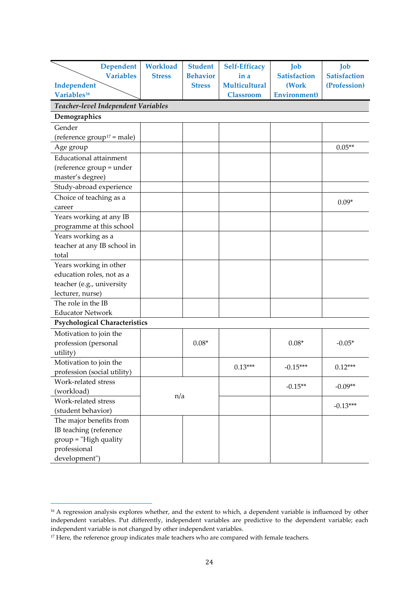| <b>Dependent</b>                     | <b>Workload</b> | <b>Student</b>  | <b>Self-Efficacy</b> | Job                  | Job                 |
|--------------------------------------|-----------------|-----------------|----------------------|----------------------|---------------------|
| <b>Variables</b>                     | <b>Stress</b>   | <b>Behavior</b> | in a                 | <b>Satisfaction</b>  | <b>Satisfaction</b> |
| Independent                          |                 | <b>Stress</b>   | <b>Multicultural</b> | (Work                | (Profession)        |
| Variables <sup>16</sup>              |                 |                 | <b>Classroom</b>     | <b>Environment</b> ) |                     |
| Teacher-level Independent Variables  |                 |                 |                      |                      |                     |
| Demographics                         |                 |                 |                      |                      |                     |
| Gender                               |                 |                 |                      |                      |                     |
| (reference $group^{17} = male)$      |                 |                 |                      |                      |                     |
| Age group                            |                 |                 |                      |                      | $0.05**$            |
| <b>Educational attainment</b>        |                 |                 |                      |                      |                     |
| (reference group = under             |                 |                 |                      |                      |                     |
| master's degree)                     |                 |                 |                      |                      |                     |
| Study-abroad experience              |                 |                 |                      |                      |                     |
| Choice of teaching as a              |                 |                 |                      |                      |                     |
| career                               |                 |                 |                      |                      | $0.09*$             |
| Years working at any IB              |                 |                 |                      |                      |                     |
| programme at this school             |                 |                 |                      |                      |                     |
| Years working as a                   |                 |                 |                      |                      |                     |
| teacher at any IB school in          |                 |                 |                      |                      |                     |
| total                                |                 |                 |                      |                      |                     |
| Years working in other               |                 |                 |                      |                      |                     |
| education roles, not as a            |                 |                 |                      |                      |                     |
| teacher (e.g., university            |                 |                 |                      |                      |                     |
| lecturer, nurse)                     |                 |                 |                      |                      |                     |
| The role in the IB                   |                 |                 |                      |                      |                     |
| <b>Educator Network</b>              |                 |                 |                      |                      |                     |
| <b>Psychological Characteristics</b> |                 |                 |                      |                      |                     |
| Motivation to join the               |                 |                 |                      |                      |                     |
| profession (personal                 |                 | $0.08*$         |                      | $0.08*$              | $-0.05*$            |
| utility)                             |                 |                 |                      |                      |                     |
| Motivation to join the               |                 |                 | $0.13***$            | $-0.15***$           | $0.12***$           |
| profession (social utility)          |                 |                 |                      |                      |                     |
| Work-related stress                  |                 |                 |                      | $-0.15**$            | $-0.09**$           |
| (workload)                           | n/a             |                 |                      |                      |                     |
| Work-related stress                  |                 |                 |                      |                      | $-0.13***$          |
| (student behavior)                   |                 |                 |                      |                      |                     |
| The major benefits from              |                 |                 |                      |                      |                     |
| IB teaching (reference               |                 |                 |                      |                      |                     |
| $group="High quality$                |                 |                 |                      |                      |                     |
| professional                         |                 |                 |                      |                      |                     |
| development")                        |                 |                 |                      |                      |                     |

<span id="page-23-0"></span><sup>&</sup>lt;sup>16</sup> A regression analysis explores whether, and the extent to which, a dependent variable is influenced by other independent variables. Put differently, independent variables are predictive to the dependent variable; each independent variable is not changed by other independent variables.

<span id="page-23-1"></span><sup>&</sup>lt;sup>17</sup> Here, the reference group indicates male teachers who are compared with female teachers.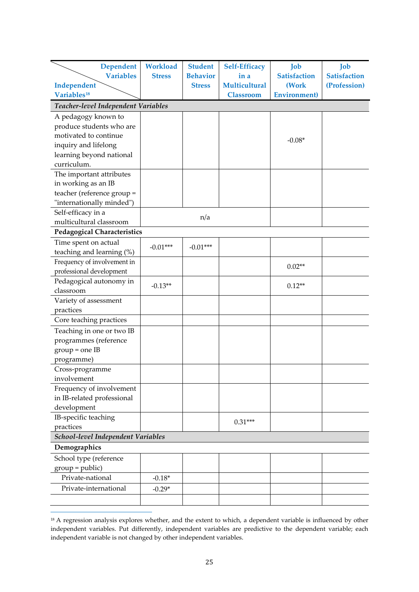| <b>Dependent</b>                    | <b>Workload</b> | <b>Student</b>  | <b>Self-Efficacy</b> | Job                  | Job                 |
|-------------------------------------|-----------------|-----------------|----------------------|----------------------|---------------------|
| <b>Variables</b>                    | <b>Stress</b>   | <b>Behavior</b> | in a                 | <b>Satisfaction</b>  | <b>Satisfaction</b> |
| Independent                         |                 | <b>Stress</b>   | <b>Multicultural</b> | (Work                | (Profession)        |
| Variables <sup>18</sup>             |                 |                 | <b>Classroom</b>     | <b>Environment</b> ) |                     |
| Teacher-level Independent Variables |                 |                 |                      |                      |                     |
| A pedagogy known to                 |                 |                 |                      |                      |                     |
| produce students who are            |                 |                 |                      |                      |                     |
| motivated to continue               |                 |                 |                      |                      |                     |
| inquiry and lifelong                |                 |                 |                      | $-0.08*$             |                     |
| learning beyond national            |                 |                 |                      |                      |                     |
| curriculum.                         |                 |                 |                      |                      |                     |
| The important attributes            |                 |                 |                      |                      |                     |
| in working as an IB                 |                 |                 |                      |                      |                     |
| teacher (reference group =          |                 |                 |                      |                      |                     |
| "internationally minded")           |                 |                 |                      |                      |                     |
| Self-efficacy in a                  |                 |                 |                      |                      |                     |
| multicultural classroom             |                 | n/a             |                      |                      |                     |
| <b>Pedagogical Characteristics</b>  |                 |                 |                      |                      |                     |
| Time spent on actual                |                 |                 |                      |                      |                     |
| teaching and learning (%)           | $-0.01***$      | $-0.01***$      |                      |                      |                     |
| Frequency of involvement in         |                 |                 |                      |                      |                     |
| professional development            |                 |                 |                      | $0.02**$             |                     |
| Pedagogical autonomy in             | $-0.13**$       |                 |                      |                      |                     |
| classroom                           |                 |                 |                      | $0.12**$             |                     |
| Variety of assessment               |                 |                 |                      |                      |                     |
| practices                           |                 |                 |                      |                      |                     |
| Core teaching practices             |                 |                 |                      |                      |                     |
| Teaching in one or two IB           |                 |                 |                      |                      |                     |
| programmes (reference               |                 |                 |                      |                      |                     |
| $group = one$ IB                    |                 |                 |                      |                      |                     |
| programme)                          |                 |                 |                      |                      |                     |
| Cross-programme                     |                 |                 |                      |                      |                     |
| involvement                         |                 |                 |                      |                      |                     |
| Frequency of involvement            |                 |                 |                      |                      |                     |
| in IB-related professional          |                 |                 |                      |                      |                     |
| development                         |                 |                 |                      |                      |                     |
| IB-specific teaching                |                 |                 | $0.31***$            |                      |                     |
| practices                           |                 |                 |                      |                      |                     |
| School-level Independent Variables  |                 |                 |                      |                      |                     |
| Demographics                        |                 |                 |                      |                      |                     |
| School type (reference              |                 |                 |                      |                      |                     |
| $group = public)$                   |                 |                 |                      |                      |                     |
| Private-national                    | $-0.18*$        |                 |                      |                      |                     |
| Private-international               | $-0.29*$        |                 |                      |                      |                     |
|                                     |                 |                 |                      |                      |                     |

<span id="page-24-0"></span><sup>&</sup>lt;sup>18</sup> A regression analysis explores whether, and the extent to which, a dependent variable is influenced by other independent variables. Put differently, independent variables are predictive to the dependent variable; each independent variable is not changed by other independent variables.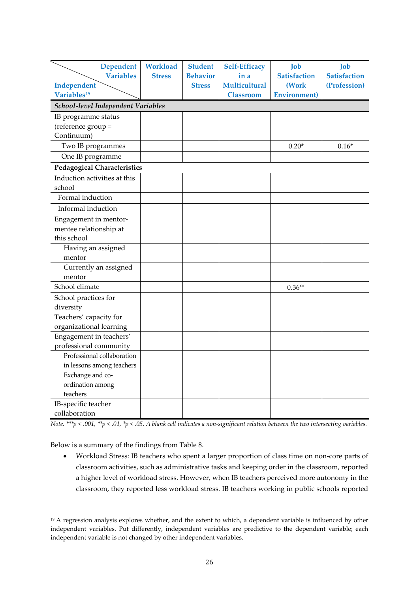| <b>Dependent</b><br><b>Variables</b><br>Independent           | Workload<br><b>Stress</b> | <b>Student</b><br><b>Behavior</b><br><b>Stress</b> | <b>Self-Efficacy</b><br>in a<br><b>Multicultural</b> | Job<br><b>Satisfaction</b><br>(Work | Job<br><b>Satisfaction</b><br>(Profession) |
|---------------------------------------------------------------|---------------------------|----------------------------------------------------|------------------------------------------------------|-------------------------------------|--------------------------------------------|
| Variables <sup>19</sup><br>School-level Independent Variables |                           |                                                    | <b>Classroom</b>                                     | <b>Environment</b> )                |                                            |
| IB programme status                                           |                           |                                                    |                                                      |                                     |                                            |
| (reference group =                                            |                           |                                                    |                                                      |                                     |                                            |
| Continuum)                                                    |                           |                                                    |                                                      |                                     |                                            |
| Two IB programmes                                             |                           |                                                    |                                                      | $0.20*$                             | $0.16*$                                    |
| One IB programme                                              |                           |                                                    |                                                      |                                     |                                            |
| <b>Pedagogical Characteristics</b>                            |                           |                                                    |                                                      |                                     |                                            |
| Induction activities at this                                  |                           |                                                    |                                                      |                                     |                                            |
| school                                                        |                           |                                                    |                                                      |                                     |                                            |
| Formal induction                                              |                           |                                                    |                                                      |                                     |                                            |
| Informal induction                                            |                           |                                                    |                                                      |                                     |                                            |
| Engagement in mentor-                                         |                           |                                                    |                                                      |                                     |                                            |
| mentee relationship at                                        |                           |                                                    |                                                      |                                     |                                            |
| this school                                                   |                           |                                                    |                                                      |                                     |                                            |
| Having an assigned                                            |                           |                                                    |                                                      |                                     |                                            |
| mentor                                                        |                           |                                                    |                                                      |                                     |                                            |
| Currently an assigned                                         |                           |                                                    |                                                      |                                     |                                            |
| mentor                                                        |                           |                                                    |                                                      |                                     |                                            |
| School climate                                                |                           |                                                    |                                                      | $0.36**$                            |                                            |
| School practices for                                          |                           |                                                    |                                                      |                                     |                                            |
| diversity                                                     |                           |                                                    |                                                      |                                     |                                            |
| Teachers' capacity for                                        |                           |                                                    |                                                      |                                     |                                            |
| organizational learning                                       |                           |                                                    |                                                      |                                     |                                            |
| Engagement in teachers'                                       |                           |                                                    |                                                      |                                     |                                            |
| professional community                                        |                           |                                                    |                                                      |                                     |                                            |
| Professional collaboration                                    |                           |                                                    |                                                      |                                     |                                            |
| in lessons among teachers                                     |                           |                                                    |                                                      |                                     |                                            |
| Exchange and co-                                              |                           |                                                    |                                                      |                                     |                                            |
| ordination among<br>teachers                                  |                           |                                                    |                                                      |                                     |                                            |
| IB-specific teacher                                           |                           |                                                    |                                                      |                                     |                                            |
| collaboration                                                 |                           |                                                    |                                                      |                                     |                                            |
|                                                               |                           |                                                    |                                                      |                                     |                                            |

*Note. \*\*\*p < .001, \*\*p < .01, \*p < .05. A blank cell indicates a non-significant relation between the two intersecting variables.* 

Below is a summary of the findings from Table 8.

• Workload Stress: IB teachers who spent a larger proportion of class time on non-core parts of classroom activities, such as administrative tasks and keeping order in the classroom, reported a higher level of workload stress. However, when IB teachers perceived more autonomy in the classroom, they reported less workload stress. IB teachers working in public schools reported

<span id="page-25-0"></span><sup>&</sup>lt;sup>19</sup> A regression analysis explores whether, and the extent to which, a dependent variable is influenced by other independent variables. Put differently, independent variables are predictive to the dependent variable; each independent variable is not changed by other independent variables.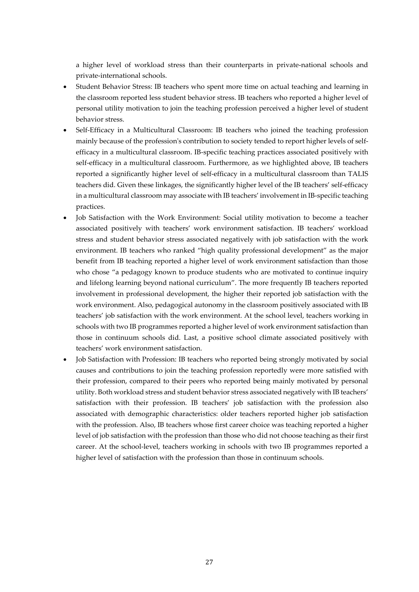a higher level of workload stress than their counterparts in private-national schools and private-international schools.

- Student Behavior Stress: IB teachers who spent more time on actual teaching and learning in the classroom reported less student behavior stress. IB teachers who reported a higher level of personal utility motivation to join the teaching profession perceived a higher level of student behavior stress.
- Self-Efficacy in a Multicultural Classroom: IB teachers who joined the teaching profession mainly because of the profession's contribution to society tended to report higher levels of selfefficacy in a multicultural classroom. IB-specific teaching practices associated positively with self-efficacy in a multicultural classroom. Furthermore, as we highlighted above, IB teachers reported a significantly higher level of self-efficacy in a multicultural classroom than TALIS teachers did. Given these linkages, the significantly higher level of the IB teachers' self-efficacy in a multicultural classroom may associate with IB teachers' involvement in IB-specific teaching practices.
- Job Satisfaction with the Work Environment: Social utility motivation to become a teacher associated positively with teachers' work environment satisfaction. IB teachers' workload stress and student behavior stress associated negatively with job satisfaction with the work environment. IB teachers who ranked "high quality professional development" as the major benefit from IB teaching reported a higher level of work environment satisfaction than those who chose "a pedagogy known to produce students who are motivated to continue inquiry and lifelong learning beyond national curriculum". The more frequently IB teachers reported involvement in professional development, the higher their reported job satisfaction with the work environment. Also, pedagogical autonomy in the classroom positively associated with IB teachers' job satisfaction with the work environment. At the school level, teachers working in schools with two IB programmes reported a higher level of work environment satisfaction than those in continuum schools did. Last, a positive school climate associated positively with teachers' work environment satisfaction.
- Job Satisfaction with Profession: IB teachers who reported being strongly motivated by social causes and contributions to join the teaching profession reportedly were more satisfied with their profession, compared to their peers who reported being mainly motivated by personal utility. Both workload stress and student behavior stress associated negatively with IB teachers' satisfaction with their profession. IB teachers' job satisfaction with the profession also associated with demographic characteristics: older teachers reported higher job satisfaction with the profession. Also, IB teachers whose first career choice was teaching reported a higher level of job satisfaction with the profession than those who did not choose teaching as their first career. At the school-level, teachers working in schools with two IB programmes reported a higher level of satisfaction with the profession than those in continuum schools.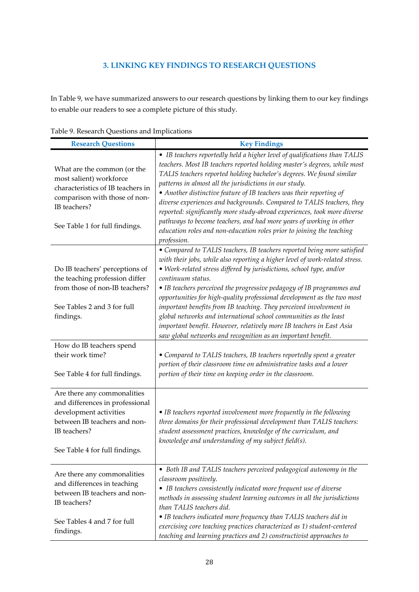# **3. LINKING KEY FINDINGS TO RESEARCH QUESTIONS**

In Table 9, we have summarized answers to our research questions by linking them to our key findings to enable our readers to see a complete picture of this study.

| <b>Research Questions</b>                                                                                                                                                      | <b>Key Findings</b>                                                                                                                                                                                                                                                                                                                                                                                                                                                                                                                                                                                                                                                                         |
|--------------------------------------------------------------------------------------------------------------------------------------------------------------------------------|---------------------------------------------------------------------------------------------------------------------------------------------------------------------------------------------------------------------------------------------------------------------------------------------------------------------------------------------------------------------------------------------------------------------------------------------------------------------------------------------------------------------------------------------------------------------------------------------------------------------------------------------------------------------------------------------|
| What are the common (or the<br>most salient) workforce<br>characteristics of IB teachers in<br>comparison with those of non-<br>IB teachers?<br>See Table 1 for full findings. | • IB teachers reportedly held a higher level of qualifications than TALIS<br>teachers. Most IB teachers reported holding master's degrees, while most<br>TALIS teachers reported holding bachelor's degrees. We found similar<br>patterns in almost all the jurisdictions in our study.<br>• Another distinctive feature of IB teachers was their reporting of<br>diverse experiences and backgrounds. Compared to TALIS teachers, they<br>reported: significantly more study-abroad experiences, took more diverse<br>pathways to become teachers, and had more years of working in other<br>education roles and non-education roles prior to joining the teaching<br>profession.          |
| Do IB teachers' perceptions of<br>the teaching profession differ<br>from those of non-IB teachers?<br>See Tables 2 and 3 for full<br>findings.                                 | • Compared to TALIS teachers, IB teachers reported being more satisfied<br>with their jobs, while also reporting a higher level of work-related stress.<br>• Work-related stress differed by jurisdictions, school type, and/or<br>continuum status.<br>• IB teachers perceived the progressive pedagogy of IB programmes and<br>opportunities for high-quality professional development as the two most<br>important benefits from IB teaching. They perceived involvement in<br>global networks and international school communities as the least<br>important benefit. However, relatively more IB teachers in East Asia<br>saw global networks and recognition as an important benefit. |
| How do IB teachers spend<br>their work time?<br>See Table 4 for full findings.                                                                                                 | • Compared to TALIS teachers, IB teachers reportedly spent a greater<br>portion of their classroom time on administrative tasks and a lower<br>portion of their time on keeping order in the classroom.                                                                                                                                                                                                                                                                                                                                                                                                                                                                                     |
| Are there any commonalities<br>and differences in professional<br>development activities<br>between IB teachers and non-<br>IB teachers?<br>See Table 4 for full findings      | • IB teachers reported involvement more frequently in the following<br>three domains for their professional development than TALIS teachers:<br>student assessment practices, knowledge of the curriculum, and<br>knowledge and understanding of my subject field(s).                                                                                                                                                                                                                                                                                                                                                                                                                       |
| Are there any commonalities<br>and differences in teaching<br>between IB teachers and non-<br>IB teachers?<br>See Tables 4 and 7 for full<br>findings.                         | • Both IB and TALIS teachers perceived pedagogical autonomy in the<br>classroom positively.<br>• IB teachers consistently indicated more frequent use of diverse<br>methods in assessing student learning outcomes in all the jurisdictions<br>than TALIS teachers did.<br>• IB teachers indicated more frequency than TALIS teachers did in<br>exercising core teaching practices characterized as 1) student-centered<br>teaching and learning practices and 2) constructivist approaches to                                                                                                                                                                                              |

Table 9. Research Questions and Implications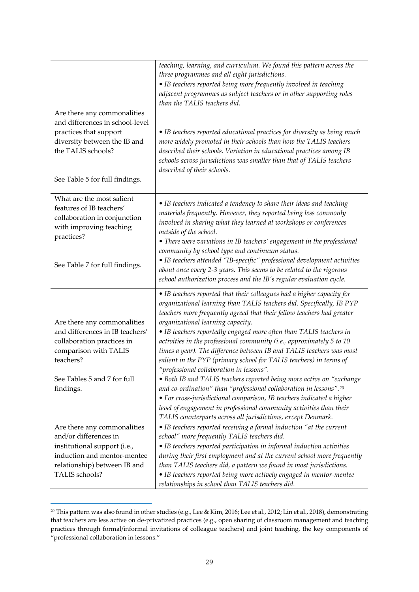|                                                                                                                                                                                  | teaching, learning, and curriculum. We found this pattern across the<br>three programmes and all eight jurisdictions.<br>• IB teachers reported being more frequently involved in teaching<br>adjacent programmes as subject teachers or in other supporting roles<br>than the TALIS teachers did.                                                                                                                                                                                                                                                                                                                                                                                                                                                                                                                                                                                                                                                                                |
|----------------------------------------------------------------------------------------------------------------------------------------------------------------------------------|-----------------------------------------------------------------------------------------------------------------------------------------------------------------------------------------------------------------------------------------------------------------------------------------------------------------------------------------------------------------------------------------------------------------------------------------------------------------------------------------------------------------------------------------------------------------------------------------------------------------------------------------------------------------------------------------------------------------------------------------------------------------------------------------------------------------------------------------------------------------------------------------------------------------------------------------------------------------------------------|
| Are there any commonalities<br>and differences in school-level<br>practices that support<br>diversity between the IB and<br>the TALIS schools?<br>See Table 5 for full findings. | • IB teachers reported educational practices for diversity as being much<br>more widely promoted in their schools than how the TALIS teachers<br>described their schools. Variation in educational practices among IB<br>schools across jurisdictions was smaller than that of TALIS teachers<br>described of their schools.                                                                                                                                                                                                                                                                                                                                                                                                                                                                                                                                                                                                                                                      |
| What are the most salient<br>features of IB teachers'<br>collaboration in conjunction<br>with improving teaching<br>practices?<br>See Table 7 for full findings.                 | • IB teachers indicated a tendency to share their ideas and teaching<br>materials frequently. However, they reported being less commonly<br>involved in sharing what they learned at workshops or conferences<br>outside of the school.<br>• There were variations in IB teachers' engagement in the professional<br>community by school type and continuum status.<br>• IB teachers attended "IB-specific" professional development activities<br>about once every 2-3 years. This seems to be related to the rigorous<br>school authorization process and the IB's regular evaluation cycle.                                                                                                                                                                                                                                                                                                                                                                                    |
| Are there any commonalities<br>and differences in IB teachers'<br>collaboration practices in<br>comparison with TALIS<br>teachers?<br>See Tables 5 and 7 for full<br>findings.   | • IB teachers reported that their colleagues had a higher capacity for<br>organizational learning than TALIS teachers did. Specifically, IB PYP<br>teachers more frequently agreed that their fellow teachers had greater<br>organizational learning capacity.<br>• IB teachers reportedly engaged more often than TALIS teachers in<br>activities in the professional community (i.e., approximately 5 to 10<br>times a year). The difference between IB and TALIS teachers was most<br>salient in the PYP (primary school for TALIS teachers) in terms of<br>"professional collaboration in lessons".<br>• Both IB and TALIS teachers reported being more active on "exchange<br>and co-ordination" than "professional collaboration in lessons". <sup>20</sup><br>• For cross-jurisdictional comparison, IB teachers indicated a higher<br>level of engagement in professional community activities than their<br>TALIS counterparts across all jurisdictions, except Denmark. |
| Are there any commonalities<br>and/or differences in<br>institutional support (i.e.,<br>induction and mentor-mentee<br>relationship) between IB and<br>TALIS schools?            | • IB teachers reported receiving a formal induction "at the current<br>school" more frequently TALIS teachers did.<br>• IB teachers reported participation in informal induction activities<br>during their first employment and at the current school more frequently<br>than TALIS teachers did, a pattern we found in most jurisdictions.<br>• IB teachers reported being more actively engaged in mentor-mentee<br>relationships in school than TALIS teachers did.                                                                                                                                                                                                                                                                                                                                                                                                                                                                                                           |

<span id="page-28-0"></span><sup>&</sup>lt;sup>20</sup> This pattern was also found in other studies (e.g., Lee & Kim, 2016; Lee et al., 2012; Lin et al., 2018), demonstrating that teachers are less active on de-privatized practices (e.g., open sharing of classroom management and teaching practices through formal/informal invitations of colleague teachers) and joint teaching, the key components of "professional collaboration in lessons."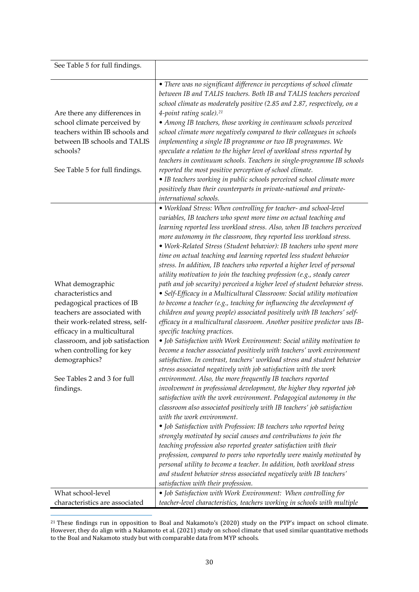| See Table 5 for full findings.                                                                                                                                                                                                                                                                                             |                                                                                                                                                                                                                                                                                                                                                                                                                                                                                                                                                                                                                                                                                                                                                                                                                                                                                                                                                                                                                                                                                                                                                                                                                                                                                                                                                                                                                                                                                                                                                                                                                                                                                                                                                                                                                                                                                                                                                                                                                                                                                                                                                                                                               |
|----------------------------------------------------------------------------------------------------------------------------------------------------------------------------------------------------------------------------------------------------------------------------------------------------------------------------|---------------------------------------------------------------------------------------------------------------------------------------------------------------------------------------------------------------------------------------------------------------------------------------------------------------------------------------------------------------------------------------------------------------------------------------------------------------------------------------------------------------------------------------------------------------------------------------------------------------------------------------------------------------------------------------------------------------------------------------------------------------------------------------------------------------------------------------------------------------------------------------------------------------------------------------------------------------------------------------------------------------------------------------------------------------------------------------------------------------------------------------------------------------------------------------------------------------------------------------------------------------------------------------------------------------------------------------------------------------------------------------------------------------------------------------------------------------------------------------------------------------------------------------------------------------------------------------------------------------------------------------------------------------------------------------------------------------------------------------------------------------------------------------------------------------------------------------------------------------------------------------------------------------------------------------------------------------------------------------------------------------------------------------------------------------------------------------------------------------------------------------------------------------------------------------------------------------|
| Are there any differences in<br>school climate perceived by<br>teachers within IB schools and<br>between IB schools and TALIS<br>schools?<br>See Table 5 for full findings.                                                                                                                                                | • There was no significant difference in perceptions of school climate<br>between IB and TALIS teachers. Both IB and TALIS teachers perceived<br>school climate as moderately positive (2.85 and 2.87, respectively, on a<br>4-point rating scale). <sup>21</sup><br>• Among IB teachers, those working in continuum schools perceived<br>school climate more negatively compared to their colleagues in schools<br>implementing a single IB programme or two IB programmes. We<br>speculate a relation to the higher level of workload stress reported by<br>teachers in continuum schools. Teachers in single-programme IB schools<br>reported the most positive perception of school climate.<br>• IB teachers working in public schools perceived school climate more<br>positively than their counterparts in private-national and private-<br>international schools.                                                                                                                                                                                                                                                                                                                                                                                                                                                                                                                                                                                                                                                                                                                                                                                                                                                                                                                                                                                                                                                                                                                                                                                                                                                                                                                                    |
| What demographic<br>characteristics and<br>pedagogical practices of IB<br>teachers are associated with<br>their work-related stress, self-<br>efficacy in a multicultural<br>classroom, and job satisfaction<br>when controlling for key<br>demographics?<br>See Tables 2 and 3 for full<br>findings.<br>What school-level | • Workload Stress: When controlling for teacher- and school-level<br>variables, IB teachers who spent more time on actual teaching and<br>learning reported less workload stress. Also, when IB teachers perceived<br>more autonomy in the classroom, they reported less workload stress.<br>• Work-Related Stress (Student behavior): IB teachers who spent more<br>time on actual teaching and learning reported less student behavior<br>stress. In addition, IB teachers who reported a higher level of personal<br>utility motivation to join the teaching profession (e.g., steady career<br>path and job security) perceived a higher level of student behavior stress.<br>• Self-Efficacy in a Multicultural Classroom: Social utility motivation<br>to become a teacher (e.g., teaching for influencing the development of<br>children and young people) associated positively with IB teachers' self-<br>efficacy in a multicultural classroom. Another positive predictor was IB-<br>specific teaching practices.<br>• Job Satisfaction with Work Environment: Social utility motivation to<br>become a teacher associated positively with teachers' work environment<br>satisfaction. In contrast, teachers' workload stress and student behavior<br>stress associated negatively with job satisfaction with the work<br>environment. Also, the more frequently IB teachers reported<br>involvement in professional development, the higher they reported job<br>satisfaction with the work environment. Pedagogical autonomy in the<br>classroom also associated positively with IB teachers' job satisfaction<br>with the work environment.<br>• Job Satisfaction with Profession: IB teachers who reported being<br>strongly motivated by social causes and contributions to join the<br>teaching profession also reported greater satisfaction with their<br>profession, compared to peers who reportedly were mainly motivated by<br>personal utility to become a teacher. In addition, both workload stress<br>and student behavior stress associated negatively with IB teachers'<br>satisfaction with their profession.<br>• Job Satisfaction with Work Environment: When controlling for |
| characteristics are associated                                                                                                                                                                                                                                                                                             | teacher-level characteristics, teachers working in schools with multiple                                                                                                                                                                                                                                                                                                                                                                                                                                                                                                                                                                                                                                                                                                                                                                                                                                                                                                                                                                                                                                                                                                                                                                                                                                                                                                                                                                                                                                                                                                                                                                                                                                                                                                                                                                                                                                                                                                                                                                                                                                                                                                                                      |

<span id="page-29-0"></span><sup>21</sup> These findings run in opposition to Boal and Nakamoto's (2020) study on the PYP's impact on school climate. However, they do align with a Nakamoto et al. (2021) study on school climate that used similar quantitative methods to the Boal and Nakamoto study but with comparable data from MYP schools.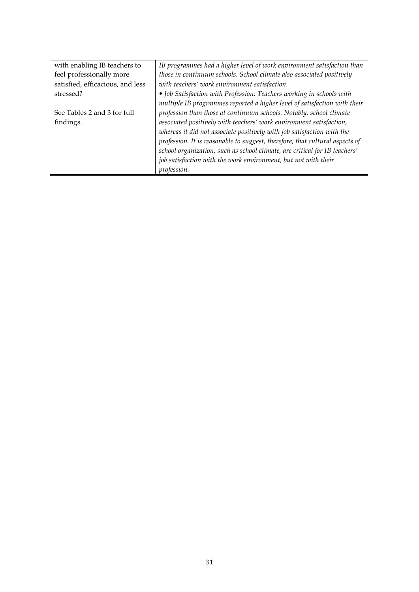| with enabling IB teachers to     | IB programmes had a higher level of work environment satisfaction than       |
|----------------------------------|------------------------------------------------------------------------------|
| feel professionally more         | those in continuum schools. School climate also associated positively        |
| satisfied, efficacious, and less | with teachers' work environment satisfaction.                                |
| stressed?                        | • Job Satisfaction with Profession: Teachers working in schools with         |
|                                  | multiple IB programmes reported a higher level of satisfaction with their    |
| See Tables 2 and 3 for full      | profession than those at continuum schools. Notably, school climate          |
| findings.                        | associated positively with teachers' work environment satisfaction,          |
|                                  | whereas it did not associate positively with job satisfaction with the       |
|                                  | profession. It is reasonable to suggest, therefore, that cultural aspects of |
|                                  | school organization, such as school climate, are critical for IB teachers'   |
|                                  | job satisfaction with the work environment, but not with their               |
|                                  | profession.                                                                  |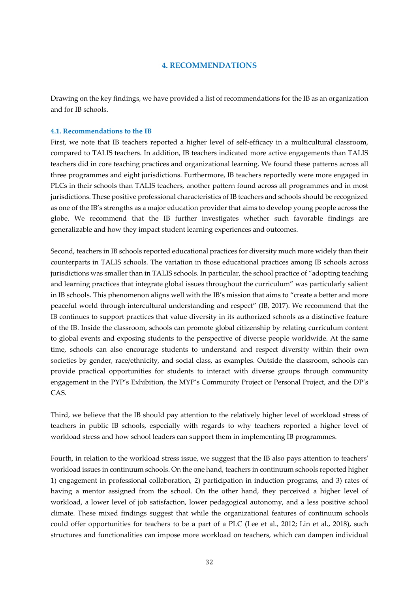#### **4. RECOMMENDATIONS**

Drawing on the key findings, we have provided a list of recommendations for the IB as an organization and for IB schools.

#### **4.1. Recommendations to the IB**

First, we note that IB teachers reported a higher level of self-efficacy in a multicultural classroom, compared to TALIS teachers. In addition, IB teachers indicated more active engagements than TALIS teachers did in core teaching practices and organizational learning. We found these patterns across all three programmes and eight jurisdictions. Furthermore, IB teachers reportedly were more engaged in PLCs in their schools than TALIS teachers, another pattern found across all programmes and in most jurisdictions. These positive professional characteristics of IB teachers and schools should be recognized as one of the IB's strengths as a major education provider that aims to develop young people across the globe. We recommend that the IB further investigates whether such favorable findings are generalizable and how they impact student learning experiences and outcomes.

Second, teachers in IB schools reported educational practices for diversity much more widely than their counterparts in TALIS schools. The variation in those educational practices among IB schools across jurisdictions was smaller than in TALIS schools. In particular, the school practice of "adopting teaching and learning practices that integrate global issues throughout the curriculum" was particularly salient in IB schools. This phenomenon aligns well with the IB's mission that aims to "create a better and more peaceful world through intercultural understanding and respect" (IB, 2017). We recommend that the IB continues to support practices that value diversity in its authorized schools as a distinctive feature of the IB. Inside the classroom, schools can promote global citizenship by relating curriculum content to global events and exposing students to the perspective of diverse people worldwide. At the same time, schools can also encourage students to understand and respect diversity within their own societies by gender, race/ethnicity, and social class, as examples. Outside the classroom, schools can provide practical opportunities for students to interact with diverse groups through community engagement in the PYP's Exhibition, the MYP's Community Project or Personal Project, and the DP's CAS.

Third, we believe that the IB should pay attention to the relatively higher level of workload stress of teachers in public IB schools, especially with regards to why teachers reported a higher level of workload stress and how school leaders can support them in implementing IB programmes.

Fourth, in relation to the workload stress issue, we suggest that the IB also pays attention to teachers' workload issues in continuum schools. On the one hand, teachers in continuum schools reported higher 1) engagement in professional collaboration, 2) participation in induction programs, and 3) rates of having a mentor assigned from the school. On the other hand, they perceived a higher level of workload, a lower level of job satisfaction, lower pedagogical autonomy, and a less positive school climate. These mixed findings suggest that while the organizational features of continuum schools could offer opportunities for teachers to be a part of a PLC (Lee et al., 2012; Lin et al., 2018), such structures and functionalities can impose more workload on teachers, which can dampen individual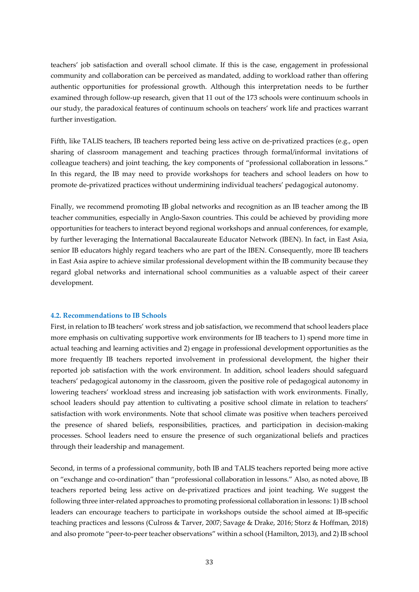teachers' job satisfaction and overall school climate. If this is the case, engagement in professional community and collaboration can be perceived as mandated, adding to workload rather than offering authentic opportunities for professional growth. Although this interpretation needs to be further examined through follow-up research, given that 11 out of the 173 schools were continuum schools in our study, the paradoxical features of continuum schools on teachers' work life and practices warrant further investigation.

Fifth, like TALIS teachers, IB teachers reported being less active on de-privatized practices (e.g., open sharing of classroom management and teaching practices through formal/informal invitations of colleague teachers) and joint teaching, the key components of "professional collaboration in lessons." In this regard, the IB may need to provide workshops for teachers and school leaders on how to promote de-privatized practices without undermining individual teachers' pedagogical autonomy.

Finally, we recommend promoting IB global networks and recognition as an IB teacher among the IB teacher communities, especially in Anglo-Saxon countries. This could be achieved by providing more opportunities for teachers to interact beyond regional workshops and annual conferences, for example, by further leveraging the International Baccalaureate Educator Network (IBEN). In fact, in East Asia, senior IB educators highly regard teachers who are part of the IBEN. Consequently, more IB teachers in East Asia aspire to achieve similar professional development within the IB community because they regard global networks and international school communities as a valuable aspect of their career development.

### **4.2. Recommendations to IB Schools**

First, in relation to IB teachers' work stress and job satisfaction, we recommend that school leaders place more emphasis on cultivating supportive work environments for IB teachers to 1) spend more time in actual teaching and learning activities and 2) engage in professional development opportunities as the more frequently IB teachers reported involvement in professional development, the higher their reported job satisfaction with the work environment. In addition, school leaders should safeguard teachers' pedagogical autonomy in the classroom, given the positive role of pedagogical autonomy in lowering teachers' workload stress and increasing job satisfaction with work environments. Finally, school leaders should pay attention to cultivating a positive school climate in relation to teachers' satisfaction with work environments. Note that school climate was positive when teachers perceived the presence of shared beliefs, responsibilities, practices, and participation in decision-making processes. School leaders need to ensure the presence of such organizational beliefs and practices through their leadership and management.

Second, in terms of a professional community, both IB and TALIS teachers reported being more active on "exchange and co-ordination" than "professional collaboration in lessons." Also, as noted above, IB teachers reported being less active on de-privatized practices and joint teaching. We suggest the following three inter-related approaches to promoting professional collaboration in lessons: 1) IB school leaders can encourage teachers to participate in workshops outside the school aimed at IB-specific teaching practices and lessons (Culross & Tarver, 2007; Savage & Drake, 2016; Storz & Hoffman, 2018) and also promote "peer-to-peer teacher observations" within a school (Hamilton, 2013), and 2) IB school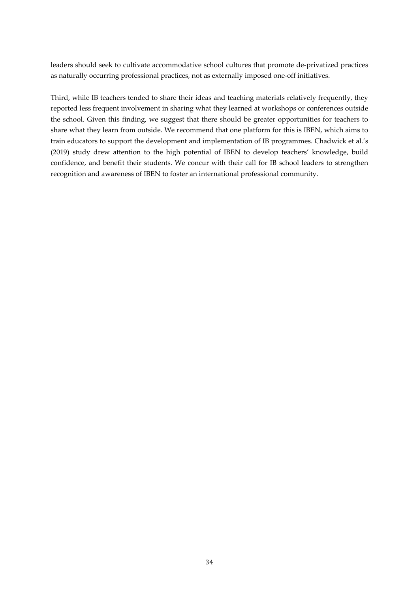leaders should seek to cultivate accommodative school cultures that promote de-privatized practices as naturally occurring professional practices, not as externally imposed one-off initiatives.

Third, while IB teachers tended to share their ideas and teaching materials relatively frequently, they reported less frequent involvement in sharing what they learned at workshops or conferences outside the school. Given this finding, we suggest that there should be greater opportunities for teachers to share what they learn from outside. We recommend that one platform for this is IBEN, which aims to train educators to support the development and implementation of IB programmes. Chadwick et al.'s (2019) study drew attention to the high potential of IBEN to develop teachers' knowledge, build confidence, and benefit their students. We concur with their call for IB school leaders to strengthen recognition and awareness of IBEN to foster an international professional community.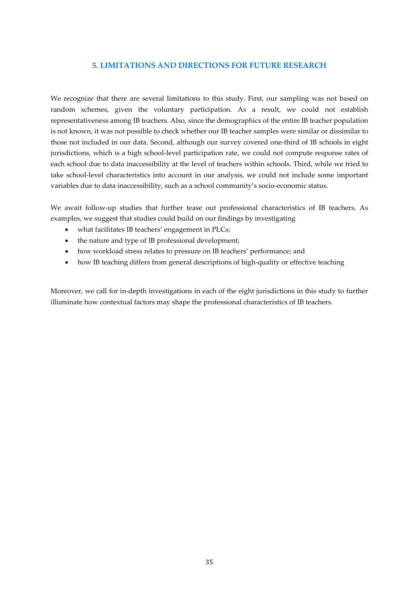### **5. LIMITATIONS AND DIRECTIONS FOR FUTURE RESEARCH**

We recognize that there are several limitations to this study. First, our sampling was not based on random schemes, given the voluntary participation. As a result, we could not establish representativeness among IB teachers. Also, since the demographics of the entire IB teacher population is not known, it was not possible to check whether our IB teacher samples were similar or dissimilar to those not included in our data. Second, although our survey covered one-third of IB schools in eight jurisdictions, which is a high school-level participation rate, we could not compute response rates of each school due to data inaccessibility at the level of teachers within schools. Third, while we tried to take school-level characteristics into account in our analysis, we could not include some important variables due to data inaccessibility, such as a school community's socio-economic status.

We await follow-up studies that further tease out professional characteristics of IB teachers. As examples, we suggest that studies could build on our findings by investigating

- what facilitates IB teachers' engagement in PLCs;
- the nature and type of IB professional development;
- how workload stress relates to pressure on IB teachers' performance; and
- how IB teaching differs from general descriptions of high-quality or effective teaching

Moreover, we call for in-depth investigations in each of the eight jurisdictions in this study to further illuminate how contextual factors may shape the professional characteristics of IB teachers.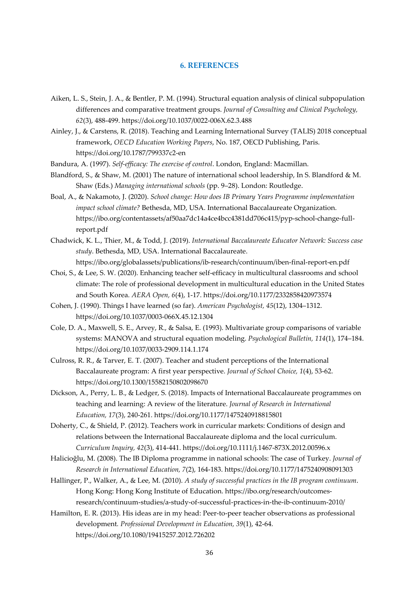#### **6. REFERENCES**

- Aiken, L. S., Stein, J. A., & Bentler, P. M. (1994). Structural equation analysis of clinical subpopulation differences and comparative treatment groups. *Journal of Consulting and Clinical Psychology, 62*(3), 488-499. https://doi.org/10.1037/0022-006X.62.3.488
- Ainley, J., & Carstens, R. (2018). Teaching and Learning International Survey (TALIS) 2018 conceptual framework, *OECD Education Working Papers*, No. 187, OECD Publishing, Paris. https://doi.org/10.1787/799337c2-en

Bandura, A. (1997). *Self-efficacy: The exercise of control*. London, England: Macmillan.

- Blandford, S., & Shaw, M. (2001) The nature of international school leadership, In S. Blandford & M. Shaw (Eds.) *Managing international schools* (pp. 9–28). London: Routledge.
- Boal, A., & Nakamoto, J. (2020). *School change: How does IB Primary Years Programme implementation impact school climate?* Bethesda, MD, USA. International Baccalaureate Organization. https://ibo.org/contentassets/af50aa7dc14a4ce4bcc4381dd706c415/pyp-school-change-fullreport.pdf
- Chadwick, K. L., Thier, M., & Todd, J. (2019). *International Baccalaureate Educator Network: Success case study*. Bethesda, MD, USA. International Baccalaureate. https://ibo.org/globalassets/publications/ib-research/continuum/iben-final-report-en.pdf
- Choi, S., & Lee, S. W. (2020). Enhancing teacher self-efficacy in multicultural classrooms and school climate: The role of professional development in multicultural education in the United States and South Korea. *AERA Open, 6*(4), 1-17. https://doi.org/10.1177/2332858420973574
- Cohen, J. (1990). Things I have learned (so far). *American Psychologist, 45*(12), 1304–1312. https://doi.org/10.1037/0003-066X.45.12.1304
- Cole, D. A., Maxwell, S. E., Arvey, R., & Salsa, E. (1993). Multivariate group comparisons of variable systems: MANOVA and structural equation modeling. *Psychological Bulletin, 114*(1), 174–184. https://doi.org/10.1037/0033-2909.114.1.174
- Culross, R. R., & Tarver, E. T. (2007). Teacher and student perceptions of the International Baccalaureate program: A first year perspective. *Journal of School Choice, 1*(4), 53-62. https://doi.org/10.1300/15582150802098670
- Dickson, A., Perry, L. B., & Ledger, S. (2018). Impacts of International Baccalaureate programmes on teaching and learning: A review of the literature. *Journal of Research in International Education, 17*(3), 240-261. https://doi.org/10.1177/1475240918815801
- Doherty, C., & Shield, P. (2012). Teachers work in curricular markets: Conditions of design and relations between the International Baccalaureate diploma and the local curriculum. *Curriculum Inquiry, 42*(3), 414-441. https://doi.org/10.1111/j.1467-873X.2012.00596.x
- Halicioğlu, M. (2008). The IB Diploma programme in national schools: The case of Turkey. *Journal of Research in International Education, 7*(2), 164-183. https://doi.org/10.1177/1475240908091303
- Hallinger, P., Walker, A., & Lee, M. (2010). *A study of successful practices in the IB program continuum*. Hong Kong: Hong Kong Institute of Education. https://ibo.org/research/outcomesresearch/continuum-studies/a-study-of-successful-practices-in-the-ib-continuum-2010/
- Hamilton, E. R. (2013). His ideas are in my head: Peer-to-peer teacher observations as professional development*. Professional Development in Education, 39*(1), 42-64. https://doi.org/10.1080/19415257.2012.726202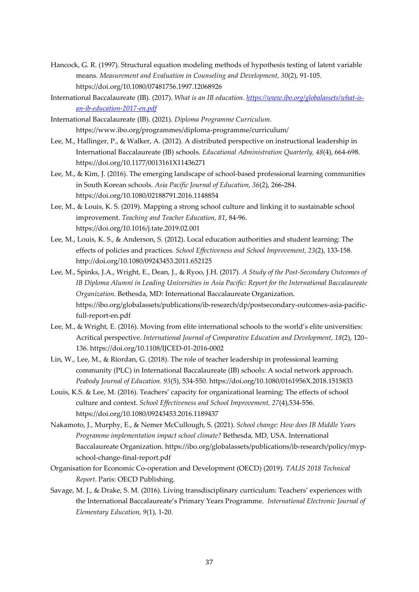- Hancock, G. R. (1997). Structural equation modeling methods of hypothesis testing of latent variable means. *Measurement and Evaluation in Counseling and Development, 30*(2), 91-105. https://doi.org/10.1080/07481756.1997.12068926
- International Baccalaureate (IB). (2017). *What is an IB education. [https://www.ibo.org/globalassets/what-is](https://www.ibo.org/globalassets/what-is-an-ib-education-2017-en.pdf)[an-ib-education-2017-en.pdf](https://www.ibo.org/globalassets/what-is-an-ib-education-2017-en.pdf)*
- International Baccalaureate (IB). (2021). *Diploma Programme Curriculum*. https://www.ibo.org/programmes/diploma-programme/curriculum/
- Lee, M., Hallinger, P., & Walker, A. (2012). A distributed perspective on instructional leadership in International Baccalaureate (IB) schools. *Educational Administration Quarterly, 48*(4), 664-698. https://doi.org/10.1177/0013161X11436271
- Lee, M., & Kim, J. (2016). The emerging landscape of school-based professional learning communities in South Korean schools. *Asia Pacific Journal of Education, 36*(2), 266-284. https://doi.org/10.1080/02188791.2016.1148854
- Lee, M., & Louis, K. S. (2019). Mapping a strong school culture and linking it to sustainable school improvement. *Teaching and Teacher Education, 81*, 84-96. https://doi.org/10.1016/j.tate.2019.02.001
- Lee, M., Louis, K. S., & Anderson, S. (2012). Local education authorities and student learning: The effects of policies and practices. *School Effectiveness and School Improvement, 23*(2), 133-158. http://doi.org/10.1080/09243453.2011.652125
- Lee, M., Spinks, J.A., Wright, E., Dean, J., & Ryoo, J.H. (2017)*. A Study of the Post-Secondary Outcomes of IB Diploma Alumni in Leading Universities in Asia Pacific: Report for the International Baccalaureate Organization*. Bethesda, MD: International Baccalaureate Organization. https://ibo.org/globalassets/publications/ib-research/dp/postsecondary-outcomes-asia-pacificfull-report-en.pdf
- Lee, M., & Wright, E. (2016). Moving from elite international schools to the world's elite universities: Acritical perspective. *International Journal of Comparative Education and Development, 18*(2), 120– 136. https://doi.org/10.1108/IJCED-01-2016-0002
- Lin, W., Lee, M., & Riordan, G. (2018). The role of teacher leadership in professional learning community (PLC) in International Baccalaureate (IB) schools: A social network approach. *Peabody Journal of Education. 93*(5), 534-550. https://doi.org/10.1080/0161956X.2018.1515833
- Louis, K.S. & Lee, M. (2016). Teachers' capacity for organizational learning: The effects of school culture and context. *School Effectiveness and School Improvement, 27*(4),534-556. https://doi.org/10.1080/09243453.2016.1189437
- Nakamoto, J., Murphy, E., & Nemer McCullough, S. (2021). *School change: How does IB Middle Years Programme implementation impact school climate?* Bethesda, MD, USA. International Baccalaureate Organization. https://ibo.org/globalassets/publications/ib-research/policy/mypschool-change-final-report.pdf
- Organisation for Economic Co-operation and Development (OECD) (2019). *TALIS 2018 Technical Report*. Paris: OECD Publishing.
- Savage, M. J., & Drake, S. M. (2016). Living transdisciplinary curriculum: Teachers' experiences with the International Baccalaureate's Primary Years Programme. *International Electronic Journal of Elementary Education, 9*(1), 1-20.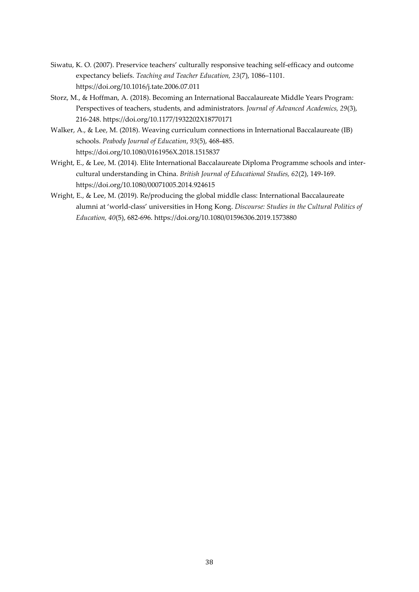- Siwatu, K. O. (2007). Preservice teachers' culturally responsive teaching self-efficacy and outcome expectancy beliefs. *Teaching and Teacher Education, 23*(7), 1086–1101. https://doi.org/10.1016/j.tate.2006.07.011
- Storz, M., & Hoffman, A. (2018). Becoming an International Baccalaureate Middle Years Program: Perspectives of teachers, students, and administrators*. Journal of Advanced Academics, 29*(3), 216-248. https://doi.org/10.1177/1932202X18770171
- Walker, A., & Lee, M. (2018). Weaving curriculum connections in International Baccalaureate (IB) schools. *Peabody Journal of Education*, *93*(5), 468-485. https://doi.org/10.1080/0161956X.2018.1515837
- Wright, E., & Lee, M. (2014). Elite International Baccalaureate Diploma Programme schools and intercultural understanding in China. *British Journal of Educational Studies, 62*(2), 149-169. https://doi.org/10.1080/00071005.2014.924615
- Wright, E., & Lee, M. (2019). Re/producing the global middle class: International Baccalaureate alumni at 'world-class' universities in Hong Kong. *Discourse: Studies in the Cultural Politics of Education, 40*(5), 682-696. https://doi.org/10.1080/01596306.2019.1573880